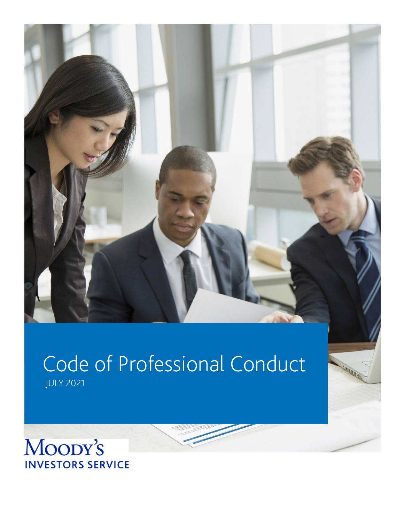

# Code of Professional Conduct

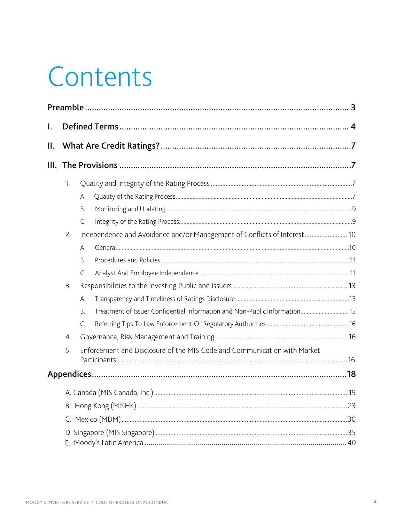# Contents

| I. |    |                                                                          |                                                                           |  |  |  |  |
|----|----|--------------------------------------------------------------------------|---------------------------------------------------------------------------|--|--|--|--|
| Ш. |    |                                                                          |                                                                           |  |  |  |  |
|    |    |                                                                          |                                                                           |  |  |  |  |
|    | 1. |                                                                          |                                                                           |  |  |  |  |
|    |    | А.                                                                       |                                                                           |  |  |  |  |
|    |    | В.                                                                       |                                                                           |  |  |  |  |
|    |    | C.                                                                       |                                                                           |  |  |  |  |
|    | 2. |                                                                          | Independence and Avoidance and/or Management of Conflicts of Interest 10  |  |  |  |  |
|    |    | Α.                                                                       |                                                                           |  |  |  |  |
|    |    | Β.                                                                       |                                                                           |  |  |  |  |
|    |    | C.                                                                       |                                                                           |  |  |  |  |
|    | 3. |                                                                          |                                                                           |  |  |  |  |
|    |    | А.                                                                       |                                                                           |  |  |  |  |
|    |    | В.                                                                       | Treatment of Issuer Confidential Information and Non-Public Information15 |  |  |  |  |
|    |    | C.                                                                       |                                                                           |  |  |  |  |
|    | 4. |                                                                          |                                                                           |  |  |  |  |
|    | 5. | Enforcement and Disclosure of the MIS Code and Communication with Market |                                                                           |  |  |  |  |
|    |    |                                                                          |                                                                           |  |  |  |  |
|    |    |                                                                          |                                                                           |  |  |  |  |
|    |    |                                                                          |                                                                           |  |  |  |  |
|    |    |                                                                          |                                                                           |  |  |  |  |
|    |    |                                                                          |                                                                           |  |  |  |  |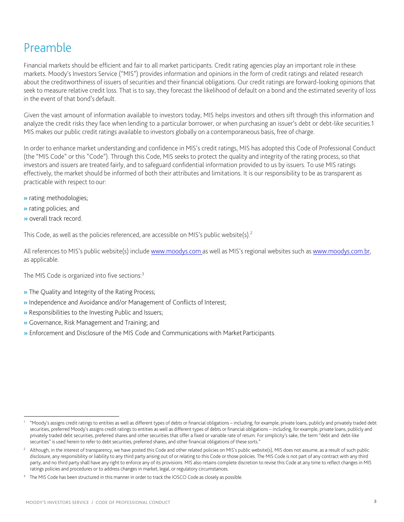# <span id="page-2-0"></span>Preamble

Financial markets should be efficient and fair to all market participants. Credit rating agencies play an important role in these markets. Moody's Investors Service ("MIS") provides information and opinions in the form of credit ratings and related research about the creditworthiness of issuers of securities and their financial obligations. Our credit ratings are forward-looking opinions that seek to measure relative credit loss. That is to say, they forecast the likelihood of default on a bond and the estimated severity of loss in the event of that bond's default.

Given the vast amount of information available to investors today, MIS helps investors and others sift through this information and analyze the credit risks they face when lending to a particular borrower, or when purchasing an issuer's debt or debt-like securities[.1](#page-2-1) MIS makes our public credit ratings available to investors globally on a contemporaneous basis, free of charge.

In order to enhance market understanding and confidence in MIS's credit ratings, MIS has adopted this Code of Professional Conduct (the "MIS Code" or this "Code"). Through this Code, MIS seeks to protect the quality and integrity of the rating process, so that investors and issuers are treated fairly, and to safeguard confidential information provided to us by issuers. To use MIS ratings effectively, the market should be informed of both their attributes and limitations. It is our responsibility to be as transparent as practicable with respect to our:

- » rating methodologies;
- » rating policies; and
- » overall track record.

This Code, as well as the policies referenced, are accessible on MIS's public website(s).<sup>2</sup>

All references to MIS's public website(s) include [www.moodys.com](http://www.moodys.com/) as well as MIS's regional websites such as [www.moodys.com.br,](http://www.moodys.com.br/) as applicable.

The MIS Code is organized into five sections:<sup>3</sup>

- » The Quality and Integrity of the Rating Process;
- » Independence and Avoidance and/or Management of Conflicts of Interest;
- » Responsibilities to the Investing Public and Issuers;
- » Governance, Risk Management and Training; and
- » Enforcement and Disclosure of the MIS Code and Communications with Market Participants.

<span id="page-2-1"></span><sup>1</sup> "Moody's assigns credit ratings to entities as well as different types of debts or financial obligations – including, for example, private loans, publicly and privately traded debt securities, preferred Moody's assigns credit ratings to entities as well as different types of debts or financial obligations - including, for example, private loans, publicly and privately traded debt securities, preferred shares and other securities that offer a fixed or variable rate of return. For simplicity's sake, the term "debt and debt-like securities" is used herein to refer to debt securities, preferred shares, and other financial obligations of these sorts."

<span id="page-2-2"></span><sup>2</sup> Although, in the interest of transparency, we have posted this Code and other related policies on MIS's public website(s), MIS does not assume, as a result of such public disclosure, any responsibility or liability to any third party arising out of or relating to this Code or those policies. The MIS Code is not part of any contract with any third party, and no third party shall have any right to enforce any of its provisions. MIS also retains complete discretion to revise this Code at any time to reflect changes in MIS ratings policies and procedures or to address changes in market, legal, or regulatory circumstances.

<span id="page-2-3"></span>The MIS Code has been structured in this manner in order to track the IOSCO Code as closely as possible.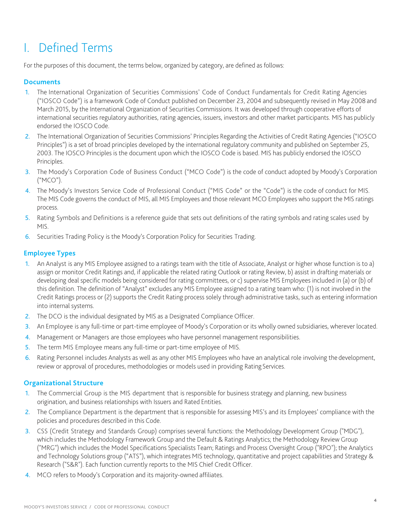# <span id="page-3-0"></span>I. Defined Terms

For the purposes of this document, the terms below, organized by category, are defined as follows:

#### **Documents**

- 1. The International Organization of Securities Commissions' Code of Conduct Fundamentals for Credit Rating Agencies ("IOSCO Code") is a framework Code of Conduct published on December 23, 2004 and subsequently revised in May 2008 and March 2015, by the International Organization of Securities Commissions. It was developed through cooperative efforts of international securities regulatory authorities, rating agencies, issuers, investors and other market participants. MIS has publicly endorsed the IOSCO Code.
- 2. The International Organization of Securities Commissions' Principles Regarding the Activities of Credit Rating Agencies ("IOSCO Principles") is a set of broad principles developed by the international regulatory community and published on September 25, 2003. The IOSCO Principles is the document upon which the IOSCO Code is based. MIS has publicly endorsed the IOSCO Principles.
- 3. The Moody's Corporation Code of Business Conduct ("MCO Code") is the code of conduct adopted by Moody's Corporation ("MCO").
- 4. The Moody's Investors Service Code of Professional Conduct ("MIS Code" or the "Code") is the code of conduct for MIS. The MIS Code governs the conduct of MIS, all MIS Employees and those relevant MCO Employees who support the MIS ratings process.
- 5. Rating Symbols and Definitions is a reference guide that sets out definitions of the rating symbols and rating scales used by MIS.
- 6. Securities Trading Policy is the Moody's Corporation Policy for Securities Trading.

#### **Employee Types**

- 1. An Analyst is any MIS Employee assigned to a ratings team with the title of Associate, Analyst or higher whose function is to a) assign or monitor Credit Ratings and, if applicable the related rating Outlook or rating Review, b) assist in drafting materials or developing deal specific models being considered for rating committees, or c) supervise MIS Employees included in (a) or (b) of this definition. The definition of "Analyst" excludes any MIS Employee assigned to a rating team who: (1) is not involved in the Credit Ratings process or (2) supports the Credit Rating process solely through administrative tasks, such as entering information into internal systems.
- 2. The DCO is the individual designated by MIS as a Designated Compliance Officer.
- 3. An Employee is any full-time or part-time employee of Moody's Corporation or its wholly owned subsidiaries, wherever located.
- 4. Management or Managers are those employees who have personnel management responsibilities.
- 5. The term MIS Employee means any full-time or part-time employee of MIS.
- 6. Rating Personnel includes Analysts as well as any other MIS Employees who have an analytical role involving the development, review or approval of procedures, methodologies or models used in providing Rating Services.

#### **Organizational Structure**

- 1. The Commercial Group is the MIS department that is responsible for business strategy and planning, new business origination, and business relationships with Issuers and Rated Entities.
- 2. The Compliance Department is the department that is responsible for assessing MIS's and its Employees' compliance with the policies and procedures described in this Code.
- 3. CSS (Credit Strategy and Standards Group) comprises several functions: the Methodology Development Group ("MDG"), which includes the Methodology Framework Group and the Default & Ratings Analytics; the Methodology Review Group ("MRG") which includes the Model Specifications Specialists Team; Ratings and Process Oversight Group ("RPO"); the Analytics and Technology Solutions group ("ATS"), which integrates MIS technology, quantitative and project capabilities and Strategy & Research ("S&R"). Each function currently reports to the MIS Chief Credit Officer.
- 4. MCO refers to Moody's Corporation and its majority-owned affiliates.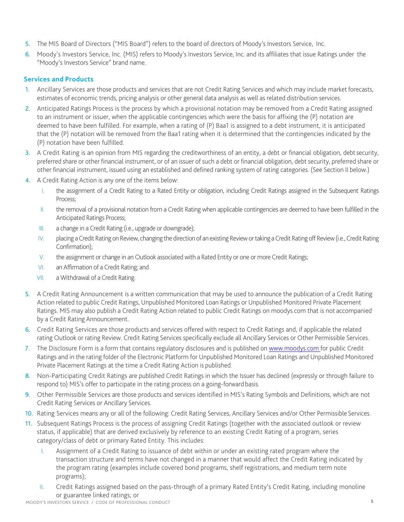- 5. The MIS Board of Directors ("MIS Board") refers to the board of directors of Moody's Investors Service, Inc.
- 6. Moody's Investors Service, Inc. (MIS) refers to Moody's Investors Service, Inc. and its affiliates that issue Ratings under the "Moody's Investors Service" brand name.

#### **Services and Products**

- 1. Ancillary Services are those products and services that are not Credit Rating Services and which may include market forecasts, estimates of economic trends, pricing analysis or other general data analysis as well as related distribution services.
- 2. Anticipated Ratings Process is the process by which a provisional notation may be removed from a Credit Rating assigned to an instrument or issuer, when the applicable contingencies which were the basis for affixing the (P) notation are deemed to have been fulfilled. For example, when a rating of (P) Baa1 is assigned to a debt instrument, it is anticipated that the (P) notation will be removed from the Baa1 rating when it is determined that the contingencies indicated by the (P) notation have been fulfilled.
- 3. A Credit Rating is an opinion from MIS regarding the creditworthiness of an entity, a debt or financial obligation, debtsecurity, preferred share or other financial instrument, or of an issuer of such a debt or financial obligation, debt security, preferred share or other financial instrument, issued using an established and defined ranking system of rating categories. (See Section II below.)
- 4. A Credit Rating Action is any one of the items below:
	- I. the assignment of a Credit Rating to a Rated Entity or obligation, including Credit Ratings assigned in the Subsequent Ratings Process;
	- II. the removal of a provisional notation from a Credit Rating when applicable contingencies are deemed to have been fulfilled in the Anticipated Ratings Process;
	- III. a change in a Credit Rating (i.e., upgrade or downgrade);
	- IV. placing a Credit Rating on Review, changing the direction of an existing Review or taking a Credit Rating off Review (i.e., Credit Rating Confirmation);
	- V. the assignment or change in an Outlook associated with a Rated Entity or one or more Credit Ratings;
	- VI. an Affirmation of a Credit Rating; and
	- VII. a Withdrawal of a Credit Rating.
- 5. A Credit Rating Announcement is a written communication that may be used to announce the publication of a Credit Rating Action related to public Credit Ratings, Unpublished Monitored Loan Ratings or Unpublished Monitored Private Placement Ratings. MIS may also publish a Credit Rating Action related to public Credit Ratings on moodys.com that is not accompanied by a Credit Rating Announcement.
- 6. Credit Rating Services are those products and services offered with respect to Credit Ratings and, if applicable the related rating Outlook or rating Review. Credit Rating Services specifically exclude all Ancillary Services or Other Permissible Services.
- 7. The Disclosure Form is a form that contains regulatory disclosures and is published on [www.moodys.com f](http://www.moodys.com/)or public Credit Ratings and in the rating folder of the Electronic Platform for Unpublished Monitored Loan Ratings and Unpublished Monitored Private Placement Ratings at the time a Credit Rating Action is published.
- 8. Non-Participating Credit Ratings are published Credit Ratings in which the Issuer has declined (expressly or through failure to respond to) MIS's offer to participate in the rating process on a going-forward basis.
- 9. Other Permissible Services are those products and services identified in MIS's Rating Symbols and Definitions, which are not Credit Rating Services or Ancillary Services.
- 10. Rating Services means any or all of the following: Credit Rating Services, Ancillary Services and/or Other Permissible Services.
- 11. Subsequent Ratings Process is the process of assigning Credit Ratings (together with the associated outlook or review status, if applicable) that are derived exclusively by reference to an existing Credit Rating of a program, series category/class of debt or primary Rated Entity. This includes:
	- I. Assignment of a Credit Rating to issuance of debt within or under an existing rated program where the transaction structure and terms have not changed in a manner that would affect the Credit Rating indicated by the program rating (examples include covered bond programs, shelf registrations, and medium term note programs);
	- II. Credit Ratings assigned based on the pass-through of a primary Rated Entity's Credit Rating, including monoline or guarantee linked ratings; or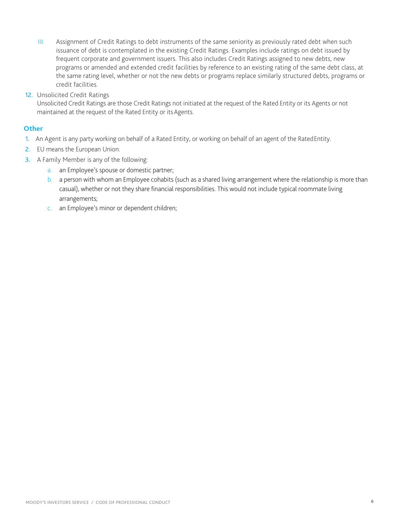- III. Assignment of Credit Ratings to debt instruments of the same seniority as previously rated debt when such issuance of debt is contemplated in the existing Credit Ratings. Examples include ratings on debt issued by frequent corporate and government issuers. This also includes Credit Ratings assigned to new debts, new programs or amended and extended credit facilities by reference to an existing rating of the same debt class, at the same rating level, whether or not the new debts or programs replace similarly structured debts, programs or credit facilities.
- 12. Unsolicited Credit Ratings

Unsolicited Credit Ratings are those Credit Ratings not initiated at the request of the Rated Entity or its Agents or not maintained at the request of the Rated Entity or itsAgents.

#### **Other**

- 1. An Agent is any party working on behalf of a Rated Entity, or working on behalf of an agent of the RatedEntity.
- 2. EU means the European Union.
- 3. A Family Member is any of the following:
	- a. an Employee's spouse or domestic partner;
	- b. a person with whom an Employee cohabits (such as a shared living arrangement where the relationship is more than casual), whether or not they share financial responsibilities. This would not include typical roommate living arrangements;
	- c. an Employee's minor or dependent children;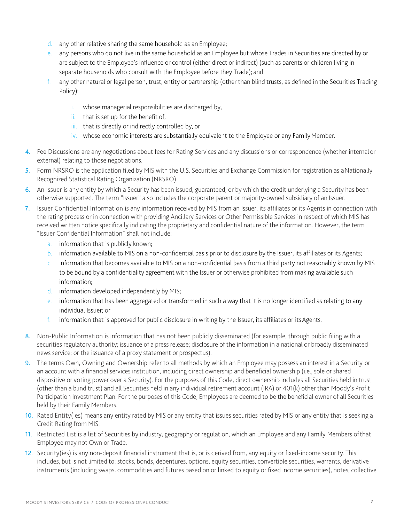- d. any other relative sharing the same household as an Employee;
- e. any persons who do not live in the same household as an Employee but whose Trades in Securities are directed by or are subject to the Employee's influence or control (either direct or indirect) (such as parents or children living in separate households who consult with the Employee before they Trade); and
- any other natural or legal person, trust, entity or partnership (other than blind trusts, as defined in the Securities Trading Policy):
	- i. whose managerial responsibilities are discharged by,
	- ii. that is set up for the benefit of,
	- iii. that is directly or indirectly controlled by, or
	- iv. whose economic interests are substantially equivalent to the Employee or any Family Member.
- 4. Fee Discussions are any negotiations about fees for Rating Services and any discussions or correspondence (whether internal or external) relating to those negotiations.
- 5. Form NRSRO is the application filed by MIS with the U.S. Securities and Exchange Commission for registration as aNationally Recognized Statistical Rating Organization (NRSRO).
- 6. An Issuer is any entity by which a Security has been issued, guaranteed, or by which the credit underlying a Security has been otherwise supported. The term "Issuer" also includes the corporate parent or majority-owned subsidiary of an Issuer.
- 7. Issuer Confidential Information is any information received by MIS from an Issuer, its affiliates or its Agents in connection with the rating process or in connection with providing Ancillary Services or Other Permissible Services in respect of which MIS has received written notice specifically indicating the proprietary and confidential nature of the information. However, the term "Issuer Confidential Information" shall not include:
	- a. information that is publicly known;
	- b. information available to MIS on a non-confidential basis prior to disclosure by the Issuer, its affiliates or its Agents;
	- c. information that becomes available to MIS on a non-confidential basis from a third party not reasonably known by MIS to be bound by a confidentiality agreement with the Issuer or otherwise prohibited from making available such information;
	- d. information developed independently by MIS;
	- e. information that has been aggregated or transformed in such a way that it is no longer identified as relating to any individual Issuer; or
	- f. information that is approved for public disclosure in writing by the Issuer, its affiliates or its Agents.
- 8. Non-Public Information is information that has not been publicly disseminated (for example, through public filing with a securities regulatory authority; issuance of a press release; disclosure of the information in a national or broadly disseminated news service; or the issuance of a proxy statement or prospectus).
- 9. The terms Own, Owning and Ownership refer to all methods by which an Employee may possess an interest in a Security or an account with a financial services institution, including direct ownership and beneficial ownership (i.e., sole or shared dispositive or voting power over a Security). For the purposes of this Code, direct ownership includes all Securities held in trust (other than a blind trust) and all Securities held in any individual retirement account (IRA) or 401(k) other than Moody's Profit Participation Investment Plan. For the purposes of this Code, Employees are deemed to be the beneficial owner of all Securities held by their Family Members.
- 10. Rated Entity(ies) means any entity rated by MIS or any entity that issues securities rated by MIS or any entity that is seeking a Credit Rating from MIS.
- 11. Restricted List is a list of Securities by industry, geography or regulation, which an Employee and any Family Members ofthat Employee may not Own or Trade.
- 12. Security(ies) is any non-deposit financial instrument that is, or is derived from, any equity or fixed-income security. This includes, but is not limited to: stocks, bonds, debentures, options, equity securities, convertible securities, warrants, derivative instruments (including swaps, commodities and futures based on or linked to equity or fixed income securities), notes, collective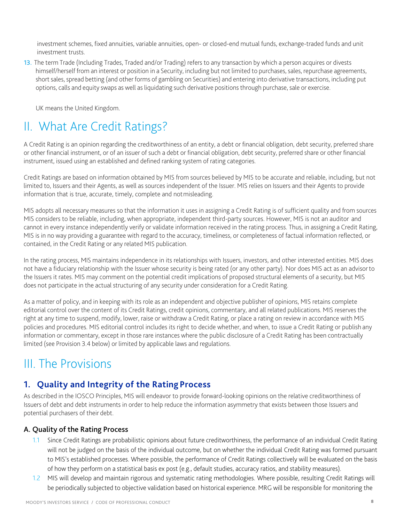investment schemes, fixed annuities, variable annuities, open- or closed-end mutual funds, exchange-traded funds and unit investment trusts.

13. The term Trade (Including Trades, Traded and/or Trading) refers to any transaction by which a person acquires or divests himself/herself from an interest or position in a Security, including but not limited to purchases, sales, repurchase agreements, short sales, spread betting (and other forms of gambling on Securities) and entering into derivative transactions, including put options, calls and equity swaps as well as liquidating such derivative positions through purchase, sale or exercise.

UK means the United Kingdom.

# <span id="page-7-0"></span>II. What Are Credit Ratings?

A Credit Rating is an opinion regarding the creditworthiness of an entity, a debt or financial obligation, debt security, preferred share or other financial instrument, or of an issuer of such a debt or financial obligation, debt security, preferred share or other financial instrument, issued using an established and defined ranking system of rating categories.

Credit Ratings are based on information obtained by MIS from sources believed by MIS to be accurate and reliable, including, but not limited to, Issuers and their Agents, as well as sources independent of the Issuer. MIS relies on Issuers and their Agents to provide information that is true, accurate, timely, complete and notmisleading.

MIS adopts all necessary measures so that the information it uses in assigning a Credit Rating is of sufficient quality and from sources MIS considers to be reliable, including, when appropriate, independent third-party sources. However, MIS is not an auditor and cannot in every instance independently verify or validate information received in the rating process. Thus, in assigning a Credit Rating, MIS is in no way providing a guarantee with regard to the accuracy, timeliness, or completeness of factual information reflected, or contained, in the Credit Rating or any related MIS publication.

In the rating process, MIS maintains independence in its relationships with Issuers, investors, and other interested entities. MIS does not have a fiduciary relationship with the Issuer whose security is being rated (or any other party). Nor does MIS act as an advisorto the Issuers it rates. MIS may comment on the potential credit implications of proposed structural elements of a security, but MIS does not participate in the actual structuring of any security under consideration for a Credit Rating.

As a matter of policy, and in keeping with its role as an independent and objective publisher of opinions, MIS retains complete editorial control over the content of its Credit Ratings, credit opinions, commentary, and all related publications. MIS reserves the right at any time to suspend, modify, lower, raise or withdraw a Credit Rating, or place a rating on review in accordance with MIS policies and procedures. MIS editorial control includes its right to decide whether, and when, to issue a Credit Rating or publish any information or commentary, except in those rare instances where the public disclosure of a Credit Rating has been contractually limited (see Provision 3.4 below) or limited by applicable laws and regulations.

# <span id="page-7-1"></span>III. The Provisions

## <span id="page-7-2"></span>**1. Quality and Integrity of the Rating Process**

As described in the IOSCO Principles, MIS will endeavor to provide forward-looking opinions on the relative creditworthiness of Issuers of debt and debt instruments in order to help reduce the information asymmetry that exists between those Issuers and potential purchasers of their debt.

#### <span id="page-7-3"></span>A. Quality of the Rating Process

- 1.1 Since Credit Ratings are probabilistic opinions about future creditworthiness, the performance of an individual Credit Rating will not be judged on the basis of the individual outcome, but on whether the individual Credit Rating was formed pursuant to MIS's established processes. Where possible, the performance of Credit Ratings collectively will be evaluated on the basis of how they perform on a statistical basis ex post (e.g., default studies, accuracy ratios, and stability measures).
- 1.2 MIS will develop and maintain rigorous and systematic rating methodologies. Where possible, resulting Credit Ratings will be periodically subjected to objective validation based on historical experience. MRG will be responsible for monitoring the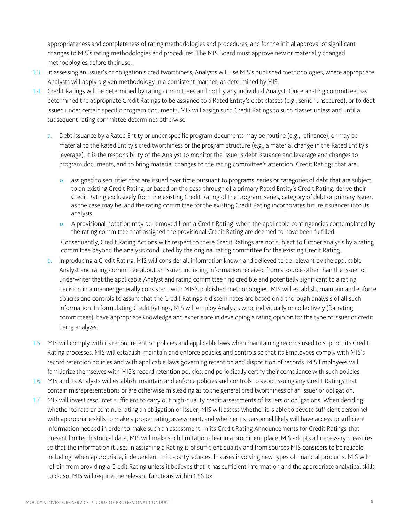appropriateness and completeness of rating methodologies and procedures, and for the initial approval of significant changes to MIS's rating methodologies and procedures. The MIS Board must approve new or materially changed methodologies before their use.

- 1.3 In assessing an Issuer's or obligation's creditworthiness, Analysts will use MIS's published methodologies, where appropriate. Analysts will apply a given methodology in a consistent manner, as determined byMIS.
- 1.4 Credit Ratings will be determined by rating committees and not by any individual Analyst. Once a rating committee has determined the appropriate Credit Ratings to be assigned to a Rated Entity's debt classes (e.g., senior unsecured), or to debt issued under certain specific program documents, MIS will assign such Credit Ratings to such classes unless and until a subsequent rating committee determines otherwise.
	- a. Debt issuance by a Rated Entity or under specific program documents may be routine (e.g., refinance), or may be material to the Rated Entity's creditworthiness or the program structure (e.g., a material change in the Rated Entity's leverage). It is the responsibility of the Analyst to monitor the Issuer's debt issuance and leverage and changes to program documents, and to bring material changes to the rating committee's attention. Credit Ratings that are:
		- » assigned to securities that are issued over time pursuant to programs, series or categories of debt that are subject to an existing Credit Rating, or based on the pass-through of a primary Rated Entity's Credit Rating, derive their Credit Rating exclusively from the existing Credit Rating of the program, series, category of debt or primary Issuer, as the case may be, and the rating committee for the existing Credit Rating incorporates future issuances into its analysis.
		- » A provisional notation may be removed from a Credit Rating when the applicable contingencies contemplated by the rating committee that assigned the provisional Credit Rating are deemed to have been fulfilled. Consequently, Credit Rating Actions with respect to these Credit Ratings are not subject to further analysis by a rating committee beyond the analysis conducted by the original rating committee for the existing Credit Rating.
	- b. In producing a Credit Rating, MIS will consider all information known and believed to be relevant by the applicable Analyst and rating committee about an Issuer, including information received from a source other than the Issuer or underwriter that the applicable Analyst and rating committee find credible and potentially significant to a rating decision in a manner generally consistent with MIS's published methodologies. MIS will establish, maintain and enforce policies and controls to assure that the Credit Ratings it disseminates are based on a thorough analysis of all such information. In formulating Credit Ratings, MIS will employ Analysts who, individually or collectively (for rating committees), have appropriate knowledge and experience in developing a rating opinion for the type of Issuer or credit being analyzed.
- 1.5 MIS will comply with its record retention policies and applicable laws when maintaining records used to support its Credit Rating processes. MIS will establish, maintain and enforce policies and controls so that its Employees comply with MIS's record retention policies and with applicable laws governing retention and disposition of records. MIS Employees will familiarize themselves with MIS's record retention policies, and periodically certify their compliance with such policies.
- 1.6 MIS and its Analysts will establish, maintain and enforce policies and controls to avoid issuing any Credit Ratings that contain misrepresentations or are otherwise misleading as to the general creditworthiness of an Issuer or obligation.
- 1.7 MIS will invest resources sufficient to carry out high-quality credit assessments of Issuers or obligations. When deciding whether to rate or continue rating an obligation or Issuer, MIS will assess whether it is able to devote sufficient personnel with appropriate skills to make a proper rating assessment, and whether its personnel likely will have access to sufficient information needed in order to make such an assessment. In its Credit Rating Announcements for Credit Ratings that present limited historical data, MIS will make such limitation clear in a prominent place. MIS adopts all necessary measures so that the information it uses in assigning a Rating is of sufficient quality and from sources MIS considers to be reliable including, when appropriate, independent third-party sources. In cases involving new types of financial products, MIS will refrain from providing a Credit Rating unless it believes that it has sufficient information and the appropriate analytical skills to do so. MIS will require the relevant functions within CSS to: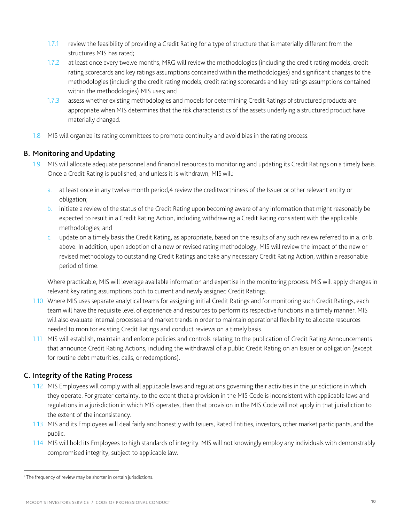- 1.7.1 review the feasibility of providing a Credit Rating for a type of structure that is materially different from the structures MIS has rated;
- 1.7.2 at least once every twelve months, MRG will review the methodologies (including the credit rating models, credit rating scorecards and key ratings assumptions contained within the methodologies) and significant changes to the methodologies (including the credit rating models, credit rating scorecards and key ratings assumptions contained within the methodologies) MIS uses; and
- 1.7.3 assess whether existing methodologies and models for determining Credit Ratings of structured products are appropriate when MIS determines that the risk characteristics of the assets underlying a structured product have materially changed.
- 1.8 MIS will organize its rating committees to promote continuity and avoid bias in the rating process.

#### <span id="page-9-0"></span>B. Monitoring and Updating

- 1.9 MIS will allocate adequate personnel and financial resources to monitoring and updating its Credit Ratings on a timely basis. Once a Credit Rating is published, and unless it is withdrawn, MIS will:
	- a. at least once in any twelve month period[,4](#page-9-2) review the creditworthiness of the Issuer or other relevant entity or obligation;
	- b. initiate a review of the status of the Credit Rating upon becoming aware of any information that might reasonably be expected to result in a Credit Rating Action, including withdrawing a Credit Rating consistent with the applicable methodologies; and
	- c. update on a timely basis the Credit Rating, as appropriate, based on the results of any such review referred to in a. or b. above. In addition, upon adoption of a new or revised rating methodology, MIS will review the impact of the new or revised methodology to outstanding Credit Ratings and take any necessary Credit Rating Action, within a reasonable period of time.

Where practicable, MIS will leverage available information and expertise in the monitoring process. MIS will apply changes in relevant key rating assumptions both to current and newly assigned Credit Ratings.

- 1.10 Where MIS uses separate analytical teams for assigning initial Credit Ratings and for monitoring such Credit Ratings, each team will have the requisite level of experience and resources to perform its respective functions in a timely manner. MIS will also evaluate internal processes and market trends in order to maintain operational flexibility to allocate resources needed to monitor existing Credit Ratings and conduct reviews on a timely basis.
- 1.11 MIS will establish, maintain and enforce policies and controls relating to the publication of Credit Rating Announcements that announce Credit Rating Actions, including the withdrawal of a public Credit Rating on an Issuer or obligation (except for routine debt maturities, calls, or redemptions).

#### <span id="page-9-1"></span>C. Integrity of the Rating Process

- 1.12 MIS Employees will comply with all applicable laws and regulations governing their activities in the jurisdictions in which they operate. For greater certainty, to the extent that a provision in the MIS Code is inconsistent with applicable laws and regulations in a jurisdiction in which MIS operates, then that provision in the MIS Code will not apply in that jurisdiction to the extent of the inconsistency.
- 1.13 MIS and its Employees will deal fairly and honestly with Issuers, Rated Entities, investors, other market participants, and the public.
- 1.14 MIS will hold its Employees to high standards of integrity. MIS will not knowingly employ any individuals with demonstrably compromised integrity, subject to applicable law.

<span id="page-9-2"></span><sup>&</sup>lt;sup>4</sup> The frequency of review may be shorter in certain jurisdictions.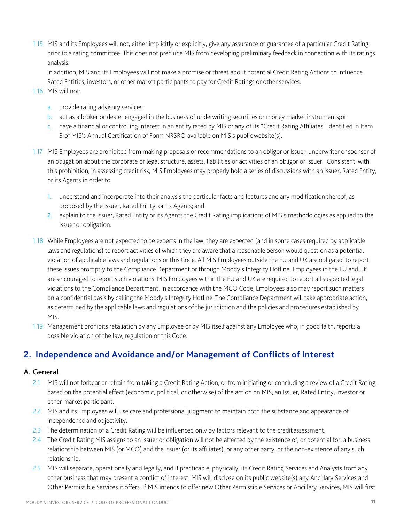1.15 MIS and its Employees will not, either implicitly or explicitly, give any assurance or guarantee of a particular Credit Rating prior to a rating committee. This does not preclude MIS from developing preliminary feedback in connection with its ratings analysis.

In addition, MIS and its Employees will not make a promise or threat about potential Credit Rating Actions to influence Rated Entities, investors, or other market participants to pay for Credit Ratings or other services.

- 1.16 MIS will not:
	- a. provide rating advisory services;
	- b. act as a broker or dealer engaged in the business of underwriting securities or money market instruments;or
	- c. have a financial or controlling interest in an entity rated by MIS or any of its "Credit Rating Affiliates" identified in Item 3 of MIS's Annual Certification of Form NRSRO available on MIS's publicwebsite(s).
- 1.17 MIS Employees are prohibited from making proposals or recommendations to an obligor or Issuer, underwriter or sponsor of an obligation about the corporate or legal structure, assets, liabilities or activities of an obligor or Issuer. Consistent with this prohibition, in assessing credit risk, MIS Employees may properly hold a series of discussions with an Issuer, Rated Entity, or its Agents in order to:
	- 1. understand and incorporate into their analysis the particular facts and features and any modification thereof, as proposed by the Issuer, Rated Entity, or its Agents; and
	- 2. explain to the Issuer, Rated Entity or its Agents the Credit Rating implications of MIS's methodologies as applied to the Issuer or obligation.
- 1.18 While Employees are not expected to be experts in the law, they are expected (and in some cases required by applicable laws and regulations) to report activities of which they are aware that a reasonable person would question as a potential violation of applicable laws and regulations or this Code. All MIS Employees outside the EU and UK are obligated to report these issues promptly to the Compliance Department or through Moody's Integrity Hotline. Employees in the EU and UK are encouraged to report such violations. MIS Employees within the EU and UK are required to report all suspected legal violations to the Compliance Department. In accordance with the MCO Code, Employees also may report such matters on a confidential basis by calling the Moody's Integrity Hotline. The Compliance Department will take appropriate action, as determined by the applicable laws and regulations of the jurisdiction and the policies and procedures established by MIS.
- 1.19 Management prohibits retaliation by any Employee or by MIS itself against any Employee who, in good faith, reports a possible violation of the law, regulation or this Code.

## <span id="page-10-0"></span>**2. Independence and Avoidance and/or Management of Conflicts of Interest**

#### <span id="page-10-1"></span>A. General

- 2.1 MIS will not forbear or refrain from taking a Credit Rating Action, or from initiating or concluding a review of a Credit Rating, based on the potential effect (economic, political, or otherwise) of the action on MIS, an Issuer, Rated Entity, investor or other market participant.
- 2.2 MIS and its Employees will use care and professional judgment to maintain both the substance and appearance of independence and objectivity.
- 2.3 The determination of a Credit Rating will be influenced only by factors relevant to the creditassessment.
- 2.4 The Credit Rating MIS assigns to an Issuer or obligation will not be affected by the existence of, or potential for, a business relationship between MIS (or MCO) and the Issuer (or its affiliates), or any other party, or the non-existence of any such relationship.
- 2.5 MIS will separate, operationally and legally, and if practicable, physically, its Credit Rating Services and Analysts from any other business that may present a conflict of interest. MIS will disclose on its public website(s) any Ancillary Services and Other Permissible Services it offers. If MIS intends to offer new Other Permissible Services or Ancillary Services, MIS will first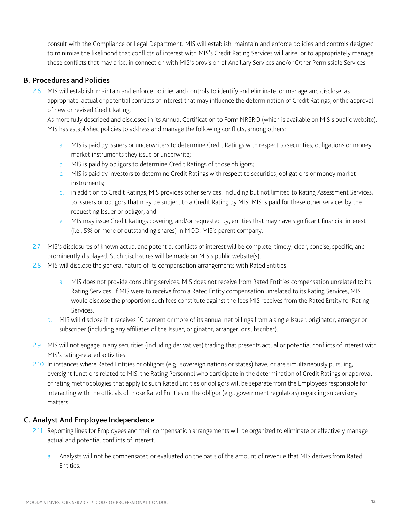consult with the Compliance or Legal Department. MIS will establish, maintain and enforce policies and controls designed to minimize the likelihood that conflicts of interest with MIS's Credit Rating Services will arise, or to appropriately manage those conflicts that may arise, in connection with MIS's provision of Ancillary Services and/or Other Permissible Services.

#### <span id="page-11-0"></span>B. Procedures and Policies

2.6 MIS will establish, maintain and enforce policies and controls to identify and eliminate, or manage and disclose, as appropriate, actual or potential conflicts of interest that may influence the determination of Credit Ratings, or the approval of new or revised Credit Rating.

As more fully described and disclosed in its Annual Certification to Form NRSRO (which is available on MIS's public website), MIS has established policies to address and manage the following conflicts, among others:

- a. MIS is paid by Issuers or underwriters to determine Credit Ratings with respect to securities, obligations or money market instruments they issue or underwrite;
- b. MIS is paid by obligors to determine Credit Ratings of those obligors;
- c. MIS is paid by investors to determine Credit Ratings with respect to securities, obligations or money market instruments;
- d. in addition to Credit Ratings, MIS provides other services, including but not limited to Rating Assessment Services, to Issuers or obligors that may be subject to a Credit Rating by MIS. MIS is paid for these other services by the requesting Issuer or obligor; and
- e. MIS may issue Credit Ratings covering, and/or requested by, entities that may have significant financial interest (i.e., 5% or more of outstanding shares) in MCO, MIS's parent company.
- 2.7 MIS's disclosures of known actual and potential conflicts of interest will be complete, timely, clear, concise, specific, and prominently displayed. Such disclosures will be made on MIS's public website(s).
- 2.8 MIS will disclose the general nature of its compensation arrangements with Rated Entities.
	- a. MIS does not provide consulting services. MIS does not receive from Rated Entities compensation unrelated to its Rating Services. If MIS were to receive from a Rated Entity compensation unrelated to its Rating Services, MIS would disclose the proportion such fees constitute against the fees MIS receives from the Rated Entity for Rating Services.
	- b. MIS will disclose if it receives 10 percent or more of its annual net billings from a single Issuer, originator, arranger or subscriber (including any affiliates of the Issuer, originator, arranger, or subscriber).
- 2.9 MIS will not engage in any securities (including derivatives) trading that presents actual or potential conflicts of interest with MIS's rating-related activities.
- 2.10 In instances where Rated Entities or obligors (e.g., sovereign nations or states) have, or are simultaneously pursuing, oversight functions related to MIS, the Rating Personnel who participate in the determination of Credit Ratings or approval of rating methodologies that apply to such Rated Entities or obligors will be separate from the Employees responsible for interacting with the officials of those Rated Entities or the obligor (e.g., government regulators) regarding supervisory matters.

#### <span id="page-11-1"></span>C. Analyst And Employee Independence

- 2.11 Reporting lines for Employees and their compensation arrangements will be organized to eliminate or effectively manage actual and potential conflicts of interest.
	- a. Analysts will not be compensated or evaluated on the basis of the amount of revenue that MIS derives from Rated Entities: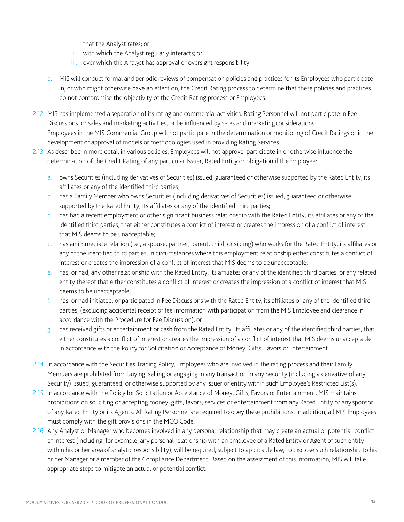- i. that the Analyst rates; or
- ii. with which the Analyst regularly interacts; or
- iii. over which the Analyst has approval or oversight responsibility.
- b. MIS will conduct formal and periodic reviews of compensation policies and practices for its Employees who participate in, or who might otherwise have an effect on, the Credit Rating process to determine that these policies and practices do not compromise the objectivity of the Credit Rating process or Employees.
- 2.12 MIS has implemented a separation of its rating and commercial activities. Rating Personnel will not participate in Fee Discussions. or sales and marketing activities, or be influenced by sales and marketing considerations. Employees in the MIS Commercial Group will not participate in the determination or monitoring of Credit Ratings or in the development or approval of models or methodologies used in providing Rating Services.
- 2.13 As described in more detail in various policies, Employees will not approve, participate in or otherwise influence the determination of the Credit Rating of any particular Issuer, Rated Entity or obligation if theEmployee:
	- a. owns Securities (including derivatives of Securities) issued, guaranteed or otherwise supported by the Rated Entity, its affiliates or any of the identified third parties;
	- b. has a Family Member who owns Securities (including derivatives of Securities) issued, guaranteed or otherwise supported by the Rated Entity, its affiliates or any of the identified third parties;
	- c. has had a recent employment or other significant business relationship with the Rated Entity, its affiliates or any of the identified third parties, that either constitutes a conflict of interest or creates the impression of a conflict of interest that MIS deems to be unacceptable;
	- d. has an immediate relation (i.e., a spouse, partner, parent, child, or sibling) who works for the Rated Entity, its affiliates or any of the identified third parties, in circumstances where this employment relationship either constitutes a conflict of interest or creates the impression of a conflict of interest that MIS deems to be unacceptable;
	- e. has, or had, any other relationship with the Rated Entity, its affiliates or any of the identified third parties, or any related entity thereof that either constitutes a conflict of interest or creates the impression of a conflict of interest that MIS deems to be unacceptable;
	- f. has, or had initiated, or participated in Fee Discussions with the Rated Entity, its affiliates or any of the identified third parties, (excluding accidental receipt of fee information with participation from the MIS Employee and clearance in accordance with the Procedure for Fee Discussion); or
	- g. has received gifts or entertainment or cash from the Rated Entity, its affiliates or any of the identified third parties, that either constitutes a conflict of interest or creates the impression of a conflict of interest that MIS deems unacceptable in accordance with the Policy for Solicitation or Acceptance of Money, Gifts, Favors orEntertainment.
- 2.14 In accordance with the Securities Trading Policy, Employees who are involved in the rating process and their Family Members are prohibited from buying, selling or engaging in any transaction in any Security (including a derivative of any Security) issued, guaranteed, or otherwise supported by any Issuer or entity within such Employee's Restricted List(s).
- 2.15 In accordance with the Policy for Solicitation or Acceptance of Money, Gifts, Favors or Entertainment, MIS maintains prohibitions on soliciting or accepting money, gifts, favors, services or entertainment from any Rated Entity or any sponsor of any Rated Entity or its Agents. All Rating Personnel are required to obey these prohibitions. In addition, all MIS Employees must comply with the gift provisions in the MCO Code.
- 2.16 Any Analyst or Manager who becomes involved in any personal relationship that may create an actual or potential conflict of interest (including, for example, any personal relationship with an employee of a Rated Entity or Agent of such entity within his or her area of analytic responsibility), will be required, subject to applicable law, to disclose such relationship to his or her Manager or a member of the Compliance Department. Based on the assessment of this information, MIS will take appropriate steps to mitigate an actual or potential conflict.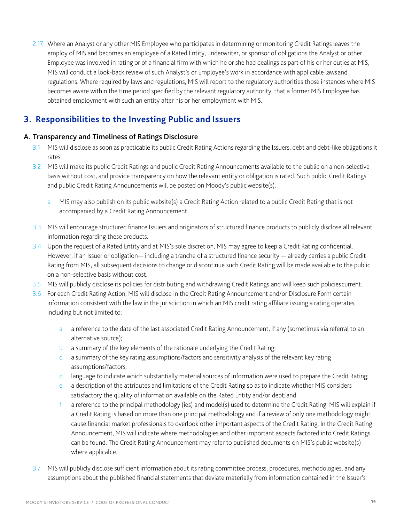2.17 Where an Analyst or any other MIS Employee who participates in determining or monitoring Credit Ratings leaves the employ of MIS and becomes an employee of a Rated Entity, underwriter, or sponsor of obligations the Analyst or other Employee was involved in rating or of a financial firm with which he or she had dealings as part of his or her duties at MIS, MIS will conduct a look-back review of such Analyst's or Employee's work in accordance with applicable lawsand regulations. Where required by laws and regulations, MIS will report to the regulatory authorities those instances where MIS becomes aware within the time period specified by the relevant regulatory authority, that a former MIS Employee has obtained employment with such an entity after his or her employment with MIS.

# <span id="page-13-0"></span>**3. Responsibilities to the Investing Public and Issuers**

#### <span id="page-13-1"></span>A. Transparency and Timeliness of Ratings Disclosure

- 3.1 MIS will disclose as soon as practicable its public Credit Rating Actions regarding the Issuers, debt and debt-like obligations it rates.
- 3.2 MIS will make its public Credit Ratings and public Credit Rating Announcements available to the public on a non-selective basis without cost, and provide transparency on how the relevant entity or obligation is rated. Such public Credit Ratings and public Credit Rating Announcements will be posted on Moody's public website(s).
	- a. MIS may also publish on its public website(s) a Credit Rating Action related to a public Credit Rating that is not accompanied by a Credit Rating Announcement.
- 3.3 MIS will encourage structured finance Issuers and originators of structured finance products to publicly disclose all relevant information regarding these products.
- 3.4 Upon the request of a Rated Entity and at MIS's sole discretion, MIS may agree to keep a Credit Rating confidential. However, if an Issuer or obligation— including a tranche of a structured finance security — already carries a public Credit Rating from MIS, all subsequent decisions to change or discontinue such Credit Rating will be made available to the public on a non-selective basis without cost.
- 3.5 MIS will publicly disclose its policies for distributing and withdrawing Credit Ratings and will keep such policiescurrent.
- 3.6 For each Credit Rating Action, MIS will disclose in the Credit Rating Announcement and/or Disclosure Form certain information consistent with the law in the jurisdiction in which an MIS credit rating affiliate issuing a rating operates, including but not limited to:
	- a. a reference to the date of the last associated Credit Rating Announcement, if any (sometimes via referral to an alternative source);
	- b. a summary of the key elements of the rationale underlying the Credit Rating;
	- c. a summary of the key rating assumptions/factors and sensitivity analysis of the relevant key rating assumptions/factors;
	- d. language to indicate which substantially material sources of information were used to prepare the Credit Rating;
	- e. a description of the attributes and limitations of the Credit Rating so as to indicate whether MIS considers satisfactory the quality of information available on the Rated Entity and/or debt; and
	- f. a reference to the principal methodology (ies) and model(s) used to determine the Credit Rating. MIS will explain if a Credit Rating is based on more than one principal methodology and if a review of only one methodology might cause financial market professionals to overlook other important aspects of the Credit Rating. In the Credit Rating Announcement, MIS will indicate where methodologies and other important aspects factored into Credit Ratings can be found. The Credit Rating Announcement may refer to published documents on MIS's public website(s) where applicable.
- 3.7 MIS will publicly disclose sufficient information about its rating committee process, procedures, methodologies, and any assumptions about the published financial statements that deviate materially from information contained in the Issuer's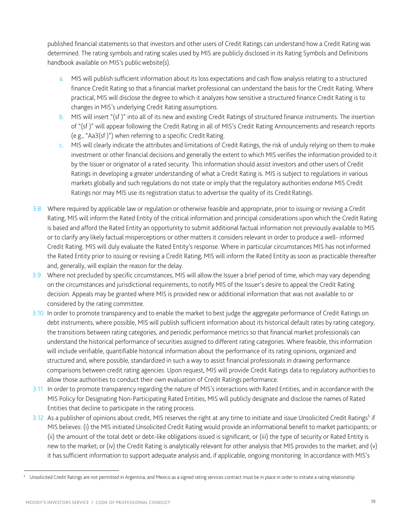published financial statements so that investors and other users of Credit Ratings can understand how a Credit Rating was determined. The rating symbols and rating scales used by MIS are publicly disclosed in its Rating Symbols and Definitions handbook available on MIS's publicwebsite(s).

- a. MIS will publish sufficient information about its loss expectations and cash flow analysis relating to a structured finance Credit Rating so that a financial market professional can understand the basis for the Credit Rating. Where practical, MIS will disclose the degree to which it analyzes how sensitive a structured finance Credit Rating is to changes in MIS's underlying Credit Rating assumptions.
- b. MIS will insert "(sf )" into all of its new and existing Credit Ratings of structured finance instruments. The insertion of "(sf )" will appear following the Credit Rating in all of MIS's Credit Rating Announcements and research reports (e.g., "Aa3(sf )") when referring to a specific Credit Rating.
- c. MIS will clearly indicate the attributes and limitations of Credit Ratings, the risk of unduly relying on them to make investment or other financial decisions and generally the extent to which MIS verifies the information provided to it by the Issuer or originator of a rated security. This information should assist investors and other users of Credit Ratings in developing a greater understanding of what a Credit Rating is. MIS is subject to regulations in various markets globally and such regulations do not state or imply that the regulatory authorities endorse MIS Credit Ratings nor may MIS use its registration status to advertise the quality of its Credit Ratings.
- 3.8 Where required by applicable law or regulation or otherwise feasible and appropriate, prior to issuing or revising a Credit Rating, MIS will inform the Rated Entity of the critical information and principal considerations upon which the Credit Rating is based and afford the Rated Entity an opportunity to submit additional factual information not previously available to MIS or to clarify any likely factual misperceptions or other matters it considers relevant in order to produce a well- informed Credit Rating. MIS will duly evaluate the Rated Entity's response. Where in particular circumstances MIS has notinformed the Rated Entity prior to issuing or revising a Credit Rating, MIS will inform the Rated Entity as soon as practicable thereafter and, generally, will explain the reason for the delay.
- 3.9 Where not precluded by specific circumstances, MIS will allow the Issuer a brief period of time, which may vary depending on the circumstances and jurisdictional requirements, to notify MIS of the Issuer's desire to appeal the Credit Rating decision. Appeals may be granted where MIS is provided new or additional information that was not available to or considered by the rating committee.
- 3.10 In order to promote transparency and to enable the market to best judge the aggregate performance of Credit Ratings on debt instruments, where possible, MIS will publish sufficient information about its historical default rates by rating category, the transitions between rating categories, and periodic performance metrics so that financial market professionals can understand the historical performance of securities assigned to different rating categories. Where feasible, this information will include verifiable, quantifiable historical information about the performance of its rating opinions, organized and structured and, where possible, standardized in such a way to assist financial professionals in drawing performance comparisons between credit rating agencies. Upon request, MIS will provide Credit Ratings data to regulatory authoritiesto allow those authorities to conduct their own evaluation of Credit Ratings performance.
- 3.11 In order to promote transparency regarding the nature of MIS's interactions with Rated Entities, and in accordance with the MIS Policy for Designating Non-Participating Rated Entities, MIS will publicly designate and disclose the names of Rated Entities that decline to participate in the rating process.
- 3.12 As a publisher of opinions about credit, MIS reserves the right at any time to initiate and issue Unsolicited Credit Ratings<sup>5</sup> if MIS believes: (i) the MIS initiated Unsolicited Credit Rating would provide an informational benefit to market participants; or (ii) the amount of the total debt or debt-like obligations issued is significant; or (iii) the type of security or Rated Entity is new to the market; or (iv) the Credit Rating is analytically relevant for other analysis that MIS provides to the market; and (v) it has sufficient information to support adequate analysis and, if applicable, ongoing monitoring. In accordance with MIS's

<span id="page-14-0"></span><sup>&</sup>lt;sup>5</sup> Unsolicited Credit Ratings are not permitted in Argentina, and Mexico as a signed rating services contract must be in place in order to initiate a rating relationship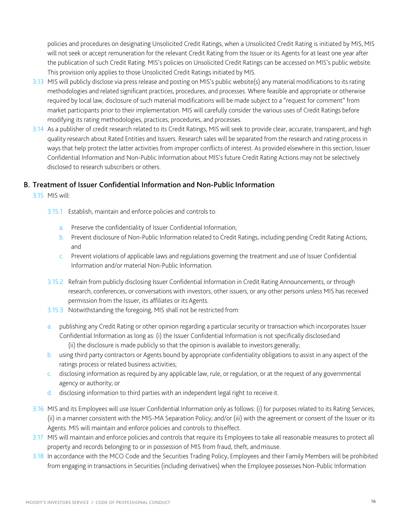policies and procedures on designating Unsolicited Credit Ratings, when a Unsolicited Credit Rating is initiated by MIS, MIS will not seek or accept remuneration for the relevant Credit Rating from the Issuer or its Agents for at least one year after the publication of such Credit Rating. MIS's policies on Unsolicited Credit Ratings can be accessed on MIS's public website. This provision only applies to those Unsolicited Credit Ratings initiated by MIS.

- 3.13 MIS will publicly disclose via press release and posting on MIS's public website(s) any material modifications to its rating methodologies and related significant practices, procedures, and processes. Where feasible and appropriate or otherwise required by local law, disclosure of such material modifications will be made subject to a "request for comment" from market participants prior to their implementation. MIS will carefully consider the various uses of Credit Ratings before modifying its rating methodologies, practices, procedures, and processes.
- 3.14 As a publisher of credit research related to its Credit Ratings, MIS will seek to provide clear, accurate, transparent, and high quality research about Rated Entities and Issuers. Research sales will be separated from the research and rating process in ways that help protect the latter activities from improper conflicts of interest. As provided elsewhere in this section, Issuer Confidential Information and Non-Public Information about MIS's future Credit Rating Actions may not be selectively disclosed to research subscribers or others.

#### <span id="page-15-0"></span>B. Treatment of Issuer Confidential Information and Non-Public Information

- 3.15 MIS will:
	- 3.15.1 Establish, maintain and enforce policies and controls to:
		- a. Preserve the confidentiality of Issuer Confidential Information;
		- b. Prevent disclosure of Non-Public Information related to Credit Ratings, including pending Credit Rating Actions; and
		- c. Prevent violations of applicable laws and regulations governing the treatment and use of Issuer Confidential Information and/or material Non-Public Information.
	- 3.15.2 Refrain from publicly disclosing Issuer Confidential Information in Credit Rating Announcements, or through research, conferences, or conversations with investors, other issuers, or any other persons unless MIS has received permission from the Issuer, its affiliates or its Agents.
	- 3.15.3 Notwithstanding the foregoing, MIS shall not be restricted from:
	- a. publishing any Credit Rating or other opinion regarding a particular security or transaction which incorporates Issuer Confidential Information as long as: (i) the Issuer Confidential Information is not specifically disclosedand (ii) the disclosure is made publicly so that the opinion is available to investors generally;
	- b. using third party contractors or Agents bound by appropriate confidentiality obligations to assist in any aspect of the ratings process or related business activities;
	- c. disclosing information as required by any applicable law, rule, or regulation, or at the request of any governmental agency or authority; or
	- d. disclosing information to third parties with an independent legal right to receive it.
- 3.16 MIS and its Employees will use Issuer Confidential Information only as follows: (i) for purposes related to its Rating Services; (ii) in a manner consistent with the MIS-MA Separation Policy; and/or (iii) with the agreement or consent of the Issuer or its Agents. MIS will maintain and enforce policies and controls to thiseffect.
- 3.17 MIS will maintain and enforce policies and controls that require its Employees to take all reasonable measures to protect all property and records belonging to or in possession of MIS from fraud, theft, andmisuse.
- 3.18 In accordance with the MCO Code and the Securities Trading Policy, Employees and their Family Members will be prohibited from engaging in transactions in Securities (including derivatives) when the Employee possesses Non-Public Information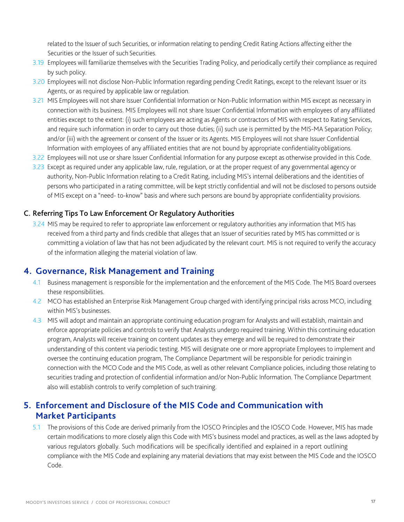related to the Issuer of such Securities, or information relating to pending Credit Rating Actions affecting either the Securities or the Issuer of such Securities.

- 3.19 Employees will familiarize themselves with the Securities Trading Policy, and periodically certify their compliance as required by such policy.
- 3.20 Employees will not disclose Non-Public Information regarding pending Credit Ratings, except to the relevant Issuer or its Agents, or as required by applicable law or regulation.
- 3.21 MIS Employees will not share Issuer Confidential Information or Non-Public Information within MIS except as necessary in connection with its business. MIS Employees will not share Issuer Confidential Information with employees of any affiliated entities except to the extent: (i) such employees are acting as Agents or contractors of MIS with respect to Rating Services, and require such information in order to carry out those duties; (ii) such use is permitted by the MIS-MA Separation Policy; and/or (iii) with the agreement or consent of the Issuer or its Agents. MIS Employees will not share Issuer Confidential Information with employees of any affiliated entities that are not bound by appropriate confidentialityobligations.
- 3.22 Employees will not use or share Issuer Confidential Information for any purpose except as otherwise provided in this Code.
- 3.23 Except as required under any applicable law, rule, regulation, or at the proper request of any governmental agency or authority, Non-Public Information relating to a Credit Rating, including MIS's internal deliberations and the identities of persons who participated in a rating committee, will be kept strictly confidential and will not be disclosed to persons outside of MIS except on a "need- to-know" basis and where such persons are bound by appropriate confidentiality provisions.

#### <span id="page-16-0"></span>C. Referring Tips To Law Enforcement Or Regulatory Authorities

3.24 MIS may be required to refer to appropriate law enforcement or regulatory authorities any information that MIS has received from a third party and finds credible that alleges that an Issuer of securities rated by MIS has committed or is committing a violation of law that has not been adjudicated by the relevant court. MIS is not required to verify the accuracy of the information alleging the material violation of law.

#### <span id="page-16-1"></span>**4. Governance, Risk Management and Training**

- 4.1 Business management is responsible for the implementation and the enforcement of the MIS Code. The MIS Board oversees these responsibilities.
- 4.2 MCO has established an Enterprise Risk Management Group charged with identifying principal risks across MCO, including within MIS's businesses.
- 4.3 MIS will adopt and maintain an appropriate continuing education program for Analysts and will establish, maintain and enforce appropriate policies and controls to verify that Analysts undergo required training. Within this continuing education program, Analysts will receive training on content updates as they emerge and will be required to demonstrate their understanding of this content via periodic testing. MIS will designate one or more appropriate Employees to implement and oversee the continuing education program, The Compliance Department will be responsible for periodic trainingin connection with the MCO Code and the MIS Code, as well as other relevant Compliance policies, including those relating to securities trading and protection of confidential information and/or Non-Public Information. The Compliance Department also will establish controls to verify completion of such training.

## <span id="page-16-2"></span>**5. Enforcement and Disclosure of the MIS Code and Communication with Market Participants**

5.1 The provisions of this Code are derived primarily from the IOSCO Principles and the IOSCO Code. However, MIS has made certain modifications to more closely align this Code with MIS's business model and practices, as well as the laws adopted by various regulators globally. Such modifications will be specifically identified and explained in a report outlining compliance with the MIS Code and explaining any material deviations that may exist between the MIS Code and the IOSCO Code.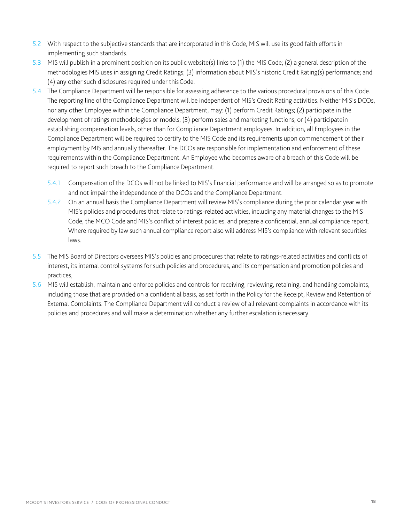- 5.2 With respect to the subjective standards that are incorporated in this Code, MIS will use its good faith efforts in implementing such standards.
- 5.3 MIS will publish in a prominent position on its public website(s) links to (1) the MIS Code; (2) a general description of the methodologies MIS uses in assigning Credit Ratings; (3) information about MIS's historic Credit Rating(s) performance; and (4) any other such disclosures required under thisCode.
- 5.4 The Compliance Department will be responsible for assessing adherence to the various procedural provisions of this Code. The reporting line of the Compliance Department will be independent of MIS's Credit Rating activities. Neither MIS's DCOs, nor any other Employee within the Compliance Department, may: (1) perform Credit Ratings; (2) participate in the development of ratings methodologies or models; (3) perform sales and marketing functions; or (4) participatein establishing compensation levels, other than for Compliance Department employees. In addition, all Employees in the Compliance Department will be required to certify to the MIS Code and its requirements upon commencement of their employment by MIS and annually thereafter. The DCOs are responsible for implementation and enforcement of these requirements within the Compliance Department. An Employee who becomes aware of a breach of this Code will be required to report such breach to the Compliance Department.
	- 5.4.1 Compensation of the DCOs will not be linked to MIS's financial performance and will be arranged so as to promote and not impair the independence of the DCOs and the Compliance Department.
	- 5.4.2 On an annual basis the Compliance Department will review MIS's compliance during the prior calendar year with MIS's policies and procedures that relate to ratings-related activities, including any material changes to the MIS Code, the MCO Code and MIS's conflict of interest policies, and prepare a confidential, annual compliance report. Where required by law such annual compliance report also will address MIS's compliance with relevant securities laws.
- 5.5 The MIS Board of Directors oversees MIS's policies and procedures that relate to ratings-related activities and conflicts of interest, its internal control systems for such policies and procedures, and its compensation and promotion policies and practices,
- 5.6 MIS will establish, maintain and enforce policies and controls for receiving, reviewing, retaining, and handling complaints, including those that are provided on a confidential basis, as set forth in the Policy for the Receipt, Review and Retention of External Complaints. The Compliance Department will conduct a review of all relevant complaints in accordance with its policies and procedures and will make a determination whether any further escalation isnecessary.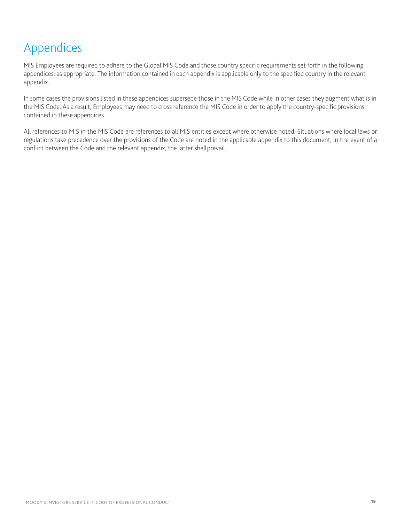# <span id="page-18-0"></span>Appendices

MIS Employees are required to adhere to the Global MIS Code and those country specific requirements set forth in the following appendices, as appropriate. The information contained in each appendix is applicable only to the specified country in the relevant appendix.

In some cases the provisions listed in these appendices supersede those in the MIS Code while in other cases they augment what is in the MIS Code. As a result, Employees may need to cross reference the MIS Code in order to apply the country-specific provisions contained in these appendices.

All references to MIS in the MIS Code are references to all MIS entities except where otherwise noted. Situations where local laws or regulations take precedence over the provisions of the Code are noted in the applicable appendix to this document, In the event of a conflict between the Code and the relevant appendix, the latter shallprevail.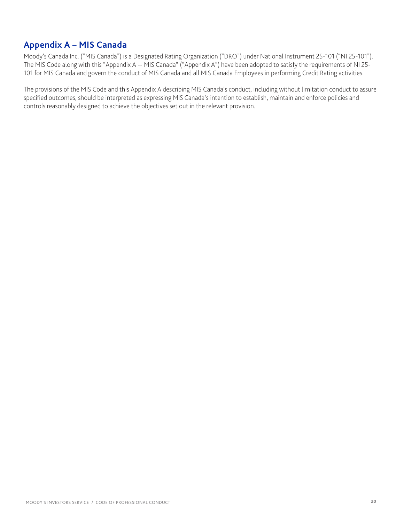## <span id="page-19-0"></span>**Appendix A – MIS Canada**

Moody's Canada Inc. ("MIS Canada") is a Designated Rating Organization ("DRO") under National Instrument 25-101 ("NI 25-101"). The MIS Code along with this "Appendix A -- MIS Canada" ("Appendix A") have been adopted to satisfy the requirements of NI 25- 101 for MIS Canada and govern the conduct of MIS Canada and all MIS Canada Employees in performing Credit Rating activities.

The provisions of the MIS Code and this Appendix A describing MIS Canada's conduct, including without limitation conduct to assure specified outcomes, should be interpreted as expressing MIS Canada's intention to establish, maintain and enforce policies and controls reasonably designed to achieve the objectives set out in the relevant provision.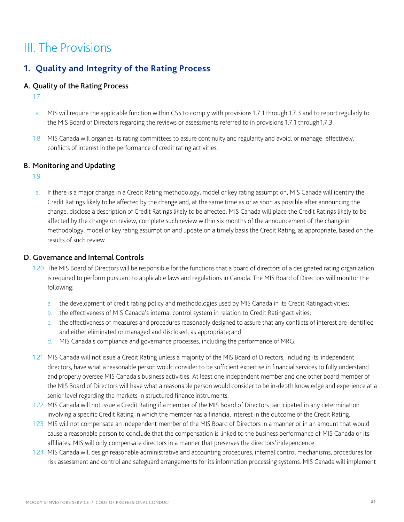# III. The Provisions

# **1. Quality and Integrity of the Rating Process**

#### A. Quality of the Rating Process

1.7

- a. MIS will require the applicable function within CSS to comply with provisions 1.7.1 through 1.7.3 and to report regularly to the MIS Board of Directors regarding the reviews or assessments referred to in provisions 1.7.1 through 1.7.3.
- 1.8 MIS Canada will organize its rating committees to assure continuity and regularity and avoid, or manage effectively, conflicts of interest in the performance of credit rating activities.

#### B. Monitoring and Updating

1.9

a. If there is a major change in a Credit Rating methodology, model or key rating assumption, MIS Canada will identify the Credit Ratings likely to be affected by the change and, at the same time as or as soon as possible after announcing the change, disclose a description of Credit Ratings likely to be affected. MIS Canada will place the Credit Ratings likely to be affected by the change on review, complete such review within six months of the announcement of the changein methodology, model or key rating assumption and update on a timely basis the Credit Rating, as appropriate, based on the results of such review.

#### D. Governance and Internal Controls

- 1.20 The MIS Board of Directors will be responsible for the functions that a board of directors of a designated rating organization is required to perform pursuant to applicable laws and regulations in Canada. The MIS Board of Directors will monitor the following:
	- a. the development of credit rating policy and methodologies used by MIS Canada in its Credit Ratingactivities;
	- b. the effectiveness of MIS Canada's internal control system in relation to Credit Rating activities;
	- c. the effectiveness of measures and procedures reasonably designed to assure that any conflicts of interest are identified and either eliminated or managed and disclosed, as appropriate; and
	- d. MIS Canada's compliance and governance processes, including the performance of MRG.
- 1.21 MIS Canada will not issue a Credit Rating unless a majority of the MIS Board of Directors, including its independent directors, have what a reasonable person would consider to be sufficient expertise in financial services to fully understand and properly oversee MIS Canada's business activities. At least one independent member and one other board member of the MIS Board of Directors will have what a reasonable person would consider to be in-depth knowledge and experience at a senior level regarding the markets in structured finance instruments.
- 1.22 MIS Canada will not issue a Credit Rating if a member of the MIS Board of Directors participated in any determination involving a specific Credit Rating in which the member has a financial interest in the outcome of the Credit Rating.
- 1.23 MIS will not compensate an independent member of the MIS Board of Directors in a manner or in an amount that would cause a reasonable person to conclude that the compensation is linked to the business performance of MIS Canada or its affiliates. MIS will only compensate directors in a manner that preserves the directors' independence.
- 1.24 MIS Canada will design reasonable administrative and accounting procedures, internal control mechanisms, procedures for risk assessment and control and safeguard arrangements for its information processing systems. MIS Canada will implement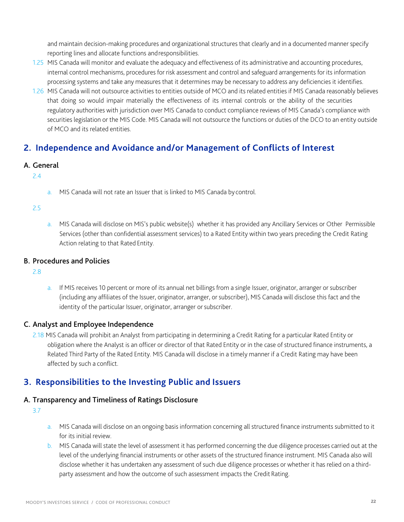and maintain decision-making procedures and organizational structures that clearly and in a documented manner specify reporting lines and allocate functions andresponsibilities.

- 1.25 MIS Canada will monitor and evaluate the adequacy and effectiveness of its administrative and accounting procedures, internal control mechanisms, procedures for risk assessment and control and safeguard arrangements for its information processing systems and take any measures that it determines may be necessary to address any deficiencies it identifies.
- 1.26 MIS Canada will not outsource activities to entities outside of MCO and its related entities if MIS Canada reasonably believes that doing so would impair materially the effectiveness of its internal controls or the ability of the securities regulatory authorities with jurisdiction over MIS Canada to conduct compliance reviews of MIS Canada's compliance with securities legislation or the MIS Code. MIS Canada will not outsource the functions or duties of the DCO to an entity outside of MCO and its related entities.

## **2. Independence and Avoidance and/or Management of Conflicts of Interest**

#### A. General

#### 2.4

a. MIS Canada will not rate an Issuer that is linked to MIS Canada by control.

#### 2.5

a. MIS Canada will disclose on MIS's public website(s) whether it has provided any Ancillary Services or Other Permissible Services (other than confidential assessment services) to a Rated Entity within two years preceding the Credit Rating Action relating to that Rated Entity.

#### B. Procedures and Policies

2.8

a. If MIS receives 10 percent or more of its annual net billings from a single Issuer, originator, arranger or subscriber (including any affiliates of the Issuer, originator, arranger, or subscriber), MIS Canada will disclose this fact and the identity of the particular Issuer, originator, arranger or subscriber.

#### C. Analyst and Employee Independence

2.18 MIS Canada will prohibit an Analyst from participating in determining a Credit Rating for a particular Rated Entity or obligation where the Analyst is an officer or director of that Rated Entity or in the case of structured finance instruments, a Related Third Party of the Rated Entity. MIS Canada will disclose in a timely manner if a Credit Rating may have been affected by such a conflict.

## **3. Responsibilities to the Investing Public and Issuers**

#### A. Transparency and Timeliness of Ratings Disclosure

- a. MIS Canada will disclose on an ongoing basis information concerning all structured finance instruments submitted to it for its initial review.
- b. MIS Canada will state the level of assessment it has performed concerning the due diligence processes carried out at the level of the underlying financial instruments or other assets of the structured finance instrument. MIS Canada also will disclose whether it has undertaken any assessment of such due diligence processes or whether it has relied on a thirdparty assessment and how the outcome of such assessment impacts the Credit Rating.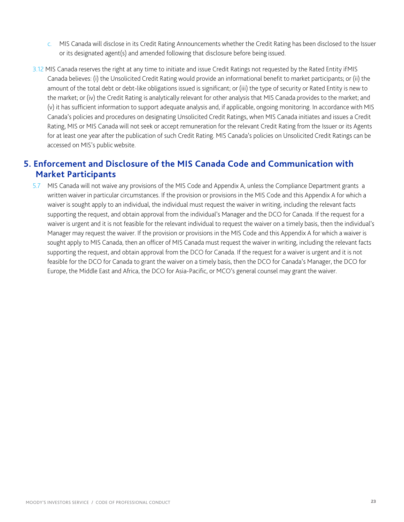- c. MIS Canada will disclose in its Credit Rating Announcements whether the Credit Rating has been disclosed to the Issuer or its designated agent(s) and amended following that disclosure before being issued.
- 3.12 MIS Canada reserves the right at any time to initiate and issue Credit Ratings not requested by the Rated Entity ifMIS Canada believes: (i) the Unsolicited Credit Rating would provide an informational benefit to market participants; or (ii) the amount of the total debt or debt-like obligations issued is significant; or (iii) the type of security or Rated Entity is new to the market; or (iv) the Credit Rating is analytically relevant for other analysis that MIS Canada provides to the market; and (v) it has sufficient information to support adequate analysis and, if applicable, ongoing monitoring. In accordance with MIS Canada's policies and procedures on designating Unsolicited Credit Ratings, when MIS Canada initiates and issues a Credit Rating, MIS or MIS Canada will not seek or accept remuneration for the relevant Credit Rating from the Issuer or its Agents for at least one year after the publication of such Credit Rating. MIS Canada's policies on Unsolicited Credit Ratings can be accessed on MIS's publicwebsite.

## **5. Enforcement and Disclosure of the MIS Canada Code and Communication with Market Participants**

5.7 MIS Canada will not waive any provisions of the MIS Code and Appendix A, unless the Compliance Department grants a written waiver in particular circumstances. If the provision or provisions in the MIS Code and this Appendix A for which a waiver is sought apply to an individual, the individual must request the waiver in writing, including the relevant facts supporting the request, and obtain approval from the individual's Manager and the DCO for Canada. If the request for a waiver is urgent and it is not feasible for the relevant individual to request the waiver on a timely basis, then the individual's Manager may request the waiver. If the provision or provisions in the MIS Code and this Appendix A for which a waiver is sought apply to MIS Canada, then an officer of MIS Canada must request the waiver in writing, including the relevant facts supporting the request, and obtain approval from the DCO for Canada. If the request for a waiver is urgent and it is not feasible for the DCO for Canada to grant the waiver on a timely basis, then the DCO for Canada's Manager, the DCO for Europe, the Middle East and Africa, the DCO for Asia-Pacific, or MCO's general counsel may grant the waiver.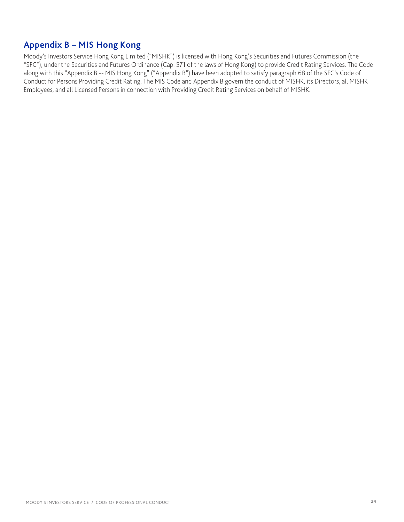## <span id="page-23-0"></span>**Appendix B – MIS Hong Kong**

Moody's Investors Service Hong Kong Limited ("MISHK") is licensed with Hong Kong's Securities and Futures Commission (the "SFC"), under the Securities and Futures Ordinance (Cap. 571 of the laws of Hong Kong) to provide Credit Rating Services. The Code along with this "Appendix B -- MIS Hong Kong" ("Appendix B") have been adopted to satisfy paragraph 68 of the SFC's Code of Conduct for Persons Providing Credit Rating. The MIS Code and Appendix B govern the conduct of MISHK, its Directors, all MISHK Employees, and all Licensed Persons in connection with Providing Credit Rating Services on behalf of MISHK.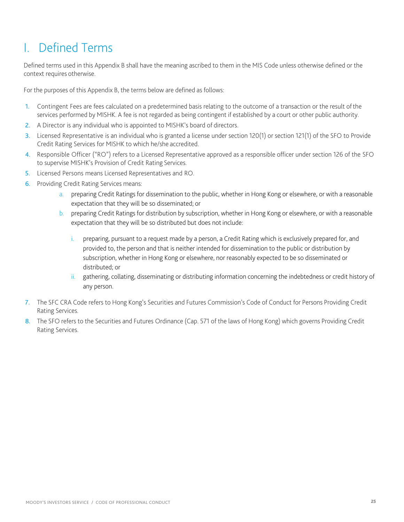# I. Defined Terms

Defined terms used in this Appendix B shall have the meaning ascribed to them in the MIS Code unless otherwise defined or the context requires otherwise.

For the purposes of this Appendix B, the terms below are defined as follows:

- 1. Contingent Fees are fees calculated on a predetermined basis relating to the outcome of a transaction or the result ofthe services performed by MISHK. A fee is not regarded as being contingent if established by a court or other public authority.
- 2. A Director is any individual who is appointed to MISHK's board of directors.
- 3. Licensed Representative is an individual who is granted a license under section 120(1) or section 121(1) of the SFO to Provide Credit Rating Services for MISHK to which he/she accredited.
- 4. Responsible Officer ("RO") refers to a Licensed Representative approved as a responsible officer under section 126 of the SFO to supervise MISHK's Provision of Credit Rating Services.
- 5. Licensed Persons means Licensed Representatives and RO.
- 6. Providing Credit Rating Services means:
	- a. preparing Credit Ratings for dissemination to the public, whether in Hong Kong or elsewhere, or with a reasonable expectation that they will be so disseminated; or
	- b. preparing Credit Ratings for distribution by subscription, whether in Hong Kong or elsewhere, or with a reasonable expectation that they will be so distributed but does not include:
		- i. preparing, pursuant to a request made by a person, a Credit Rating which is exclusively prepared for, and provided to, the person and that is neither intended for dissemination to the public or distribution by subscription, whether in Hong Kong or elsewhere, nor reasonably expected to be so disseminated or distributed; or
		- ii. gathering, collating, disseminating or distributing information concerning the indebtedness or credit history of any person.
- 7. The SFC CRA Code refers to Hong Kong's Securities and Futures Commission's Code of Conduct for Persons Providing Credit Rating Services.
- 8. The SFO refers to the Securities and Futures Ordinance (Cap. 571 of the laws of Hong Kong) which governs Providing Credit Rating Services.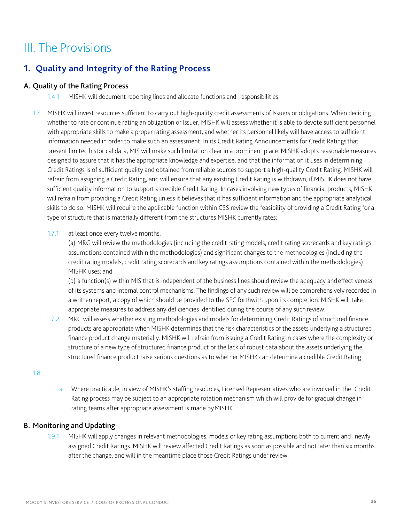# III. The Provisions

# **1. Quality and Integrity of the Rating Process**

#### A. Quality of the Rating Process

- 1.4.1 MISHK will document reporting lines and allocate functions and responsibilities.
- 1.7 MISHK will invest resources sufficient to carry out high-quality credit assessments of Issuers or obligations. When deciding whether to rate or continue rating an obligation or Issuer, MISHK will assess whether it is able to devote sufficient personnel with appropriate skills to make a proper rating assessment, and whether its personnel likely will have access to sufficient information needed in order to make such an assessment. In its Credit Rating Announcements for Credit Ratingsthat present limited historical data, MIS will make such limitation clear in a prominent place. MISHK adopts reasonable measures designed to assure that it has the appropriate knowledge and expertise, and that the information it uses in determining Credit Ratings is of sufficient quality and obtained from reliable sources to support a high-quality Credit Rating. MISHK will refrain from assigning a Credit Rating, and will ensure that any existing Credit Rating is withdrawn, if MISHK does not have sufficient quality information to support a credible Credit Rating. In cases involving new types of financial products, MISHK will refrain from providing a Credit Rating unless it believes that it has sufficient information and the appropriate analytical skills to do so. MISHK will require the applicable function within CSS review the feasibility of providing a Credit Rating for a type of structure that is materially different from the structures MISHK currently rates;

#### 1.7.1 at least once every twelve months,

(a) MRG will review the methodologies (including the credit rating models, credit rating scorecards and key ratings assumptions contained within the methodologies) and significant changes to the methodologies (including the credit rating models, credit rating scorecards and key ratings assumptions contained within the methodologies) MISHK uses; and

(b) a function(s) within MIS that is independent of the business lines should review the adequacy andeffectiveness of its systems and internal control mechanisms. The findings of any such review will be comprehensively recorded in a written report, a copy of which should be provided to the SFC forthwith upon its completion. MISHK will take appropriate measures to address any deficiencies identified during the course of any such review.

1.7.2 MRG will assess whether existing methodologies and models for determining Credit Ratings of structured finance products are appropriate when MISHK determines that the risk characteristics of the assets underlying a structured finance product change materially. MISHK will refrain from issuing a Credit Rating in cases where the complexity or structure of a new type of structured finance product or the lack of robust data about the assets underlying the structured finance product raise serious questions as to whether MISHK can determine a credible Credit Rating.

#### 1.8

a. Where practicable, in view of MISHK's staffing resources, Licensed Representatives who are involved in the Credit Rating process may be subject to an appropriate rotation mechanism which will provide for gradual change in rating teams after appropriate assessment is made byMISHK.

#### B. Monitoring and Updating

1.9.1 MISHK will apply changes in relevant methodologies, models or key rating assumptions both to current and newly assigned Credit Ratings. MISHK will review affected Credit Ratings as soon as possible and not later than six months after the change, and will in the meantime place those Credit Ratings under review.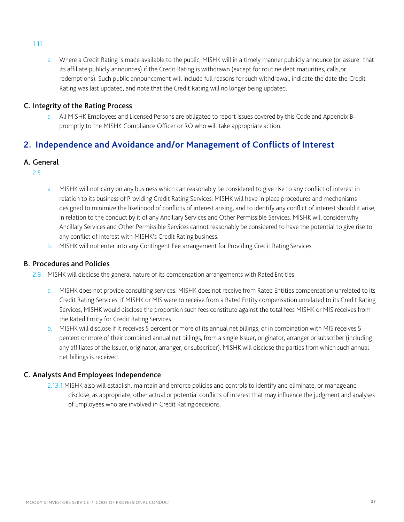a. Where a Credit Rating is made available to the public, MISHK will in a timely manner publicly announce (or assure that its affiliate publicly announces) if the Credit Rating is withdrawn (except for routine debt maturities, calls,or redemptions). Such public announcement will include full reasons for such withdrawal, indicate the date the Credit Rating was last updated, and note that the Credit Rating will no longer being updated.

#### C. Integrity of the Rating Process

a. All MISHK Employees and Licensed Persons are obligated to report issues covered by this Code and Appendix B promptly to the MISHK Compliance Officer or RO who will take appropriate action.

## **2. Independence and Avoidance and/or Management of Conflicts of Interest**

#### A. General

- 2.5
- a. MISHK will not carry on any business which can reasonably be considered to give rise to any conflict of interest in relation to its business of Providing Credit Rating Services. MISHK will have in place procedures and mechanisms designed to minimize the likelihood of conflicts of interest arising, and to identify any conflict of interest should it arise, in relation to the conduct by it of any Ancillary Services and Other Permissible Services. MISHK will consider why Ancillary Services and Other Permissible Services cannot reasonably be considered to have the potential to give rise to any conflict of interest with MISHK's Credit Rating business.
- b. MISHK will not enter into any Contingent Fee arrangement for Providing Credit Rating Services.

#### B. Procedures and Policies

- 2.8 MISHK will disclose the general nature of its compensation arrangements with Rated Entities.
	- a. MISHK does not provide consulting services. MISHK does not receive from Rated Entities compensation unrelated to its Credit Rating Services. If MISHK or MIS were to receive from a Rated Entity compensation unrelated to its Credit Rating Services, MISHK would disclose the proportion such fees constitute against the total fees MISHK or MIS receives from the Rated Entity for Credit Rating Services.
	- b. MISHK will disclose if it receives 5 percent or more of its annual net billings, or in combination with MIS receives 5 percent or more of their combined annual net billings, from a single Issuer, originator, arranger or subscriber (including any affiliates of the Issuer, originator, arranger, or subscriber). MISHK will disclose the parties from which such annual net billings is received.

#### C. Analysts And Employees Independence

2.13.1 MISHK also will establish, maintain and enforce policies and controls to identify and eliminate, or manageand disclose, as appropriate, other actual or potential conflicts of interest that may influence the judgment and analyses of Employees who are involved in Credit Ratingdecisions.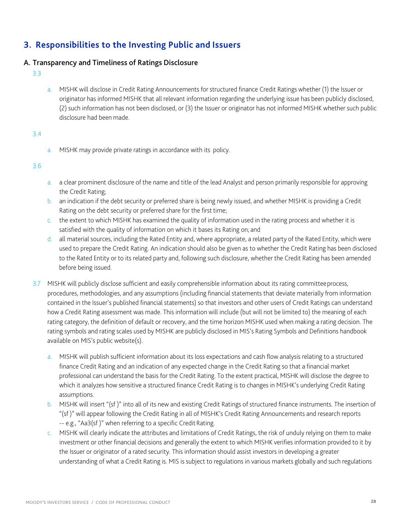## **3. Responsibilities to the Investing Public and Issuers**

#### A. Transparency and Timeliness of Ratings Disclosure

- 3.3
- a. MISHK will disclose in Credit Rating Announcements for structured finance Credit Ratings whether (1) the Issuer or originator has informed MISHK that all relevant information regarding the underlying issue has been publicly disclosed, (2) such information has not been disclosed, or (3) the Issuer or originator has not informed MISHK whether such public disclosure had been made.

#### 3.4

a. MISHK may provide private ratings in accordance with its policy.

- a. a clear prominent disclosure of the name and title of the lead Analyst and person primarily responsible for approving the Credit Rating;
- b. an indication if the debt security or preferred share is being newly issued, and whether MISHK is providing a Credit Rating on the debt security or preferred share for the first time;
- c. the extent to which MISHK has examined the quality of information used in the rating process and whether it is satisfied with the quality of information on which it bases its Rating on; and
- d. all material sources, including the Rated Entity and, where appropriate, a related party of the Rated Entity, which were used to prepare the Credit Rating. An indication should also be given as to whether the Credit Rating has been disclosed to the Rated Entity or to its related party and, following such disclosure, whether the Credit Rating has been amended before being issued.
- 3.7 MISHK will publicly disclose sufficient and easily comprehensible information about its rating committeeprocess, procedures, methodologies, and any assumptions (including financial statements that deviate materially from information contained in the Issuer's published financial statements) so that investors and other users of Credit Ratings can understand how a Credit Rating assessment was made. This information will include (but will not be limited to) the meaning of each rating category, the definition of default or recovery, and the time horizon MISHK used when making a rating decision. The rating symbols and rating scales used by MISHK are publicly disclosed in MIS's Rating Symbols and Definitions handbook available on MIS's public website(s).
	- a. MISHK will publish sufficient information about its loss expectations and cash flow analysis relating to a structured finance Credit Rating and an indication of any expected change in the Credit Rating so that a financial market professional can understand the basis for the Credit Rating. To the extent practical, MISHK will disclose the degree to which it analyzes how sensitive a structured finance Credit Rating is to changes in MISHK's underlying Credit Rating assumptions.
	- b. MISHK will insert "(sf )" into all of its new and existing Credit Ratings of structured finance instruments. The insertion of "(sf )" will appear following the Credit Rating in all of MISHK's Credit Rating Announcements and research reports -- e.g., "Aa3(sf)" when referring to a specific Credit Rating.
	- c. MISHK will clearly indicate the attributes and limitations of Credit Ratings, the risk of unduly relying on them to make investment or other financial decisions and generally the extent to which MISHK verifies information provided to it by the Issuer or originator of a rated security. This information should assist investors in developing a greater understanding of what a Credit Rating is. MIS is subject to regulations in various markets globally and such regulations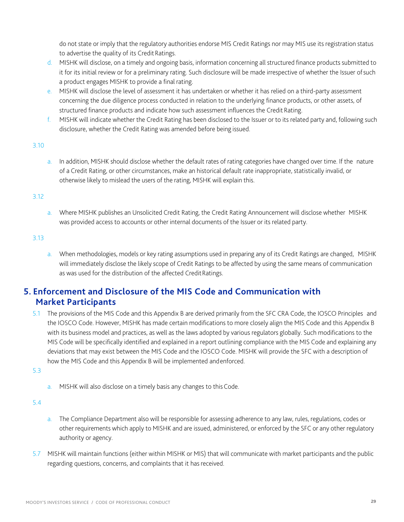do not state or imply that the regulatory authorities endorse MIS Credit Ratings nor may MIS use its registration status to advertise the quality of its Credit Ratings.

- d. MISHK will disclose, on a timely and ongoing basis, information concerning all structured finance products submitted to it for its initial review or for a preliminary rating. Such disclosure will be made irrespective of whether the Issuer ofsuch a product engages MISHK to provide a final rating.
- e. MISHK will disclose the level of assessment it has undertaken or whether it has relied on a third-party assessment concerning the due diligence process conducted in relation to the underlying finance products, or other assets, of structured finance products and indicate how such assessment influences the Credit Rating.
- f. MISHK will indicate whether the Credit Rating has been disclosed to the Issuer or to its related party and, following such disclosure, whether the Credit Rating was amended before being issued.

#### 3.10

a. In addition, MISHK should disclose whether the default rates of rating categories have changed over time. If the nature of a Credit Rating, or other circumstances, make an historical default rate inappropriate, statistically invalid, or otherwise likely to mislead the users of the rating, MISHK will explain this.

#### 3.12

a. Where MISHK publishes an Unsolicited Credit Rating, the Credit Rating Announcement will disclose whether MISHK was provided access to accounts or other internal documents of the Issuer or its related party.

#### 3.13

a. When methodologies, models or key rating assumptions used in preparing any of its Credit Ratings are changed, MISHK will immediately disclose the likely scope of Credit Ratings to be affected by using the same means of communication as was used for the distribution of the affected CreditRatings.

## **5. Enforcement and Disclosure of the MIS Code and Communication with Market Participants**

- 5.1 The provisions of the MIS Code and this Appendix B are derived primarily from the SFC CRA Code, the IOSCO Principles and the IOSCO Code. However, MISHK has made certain modifications to more closely align the MIS Code and this Appendix B with its business model and practices, as well as the laws adopted by various regulators globally. Such modifications to the MIS Code will be specifically identified and explained in a report outlining compliance with the MIS Code and explaining any deviations that may exist between the MIS Code and the IOSCO Code. MISHK will provide the SFC with a description of how the MIS Code and this Appendix B will be implemented andenforced.
- 5.3
- a. MISHK will also disclose on a timely basis any changes to this Code.

- a. The Compliance Department also will be responsible for assessing adherence to any law, rules, regulations, codes or other requirements which apply to MISHK and are issued, administered, or enforced by the SFC or any other regulatory authority or agency.
- 5.7 MISHK will maintain functions (either within MISHK or MIS) that will communicate with market participants and the public regarding questions, concerns, and complaints that it has received.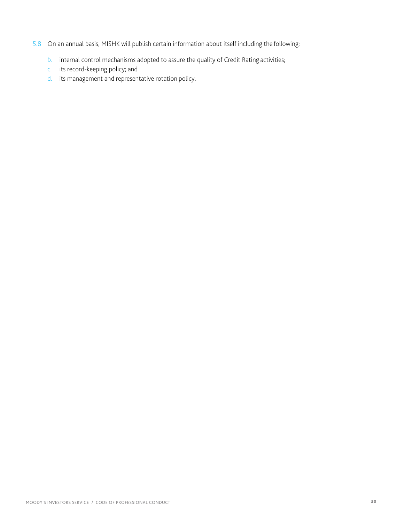- 5.8 On an annual basis, MISHK will publish certain information about itself including the following:
	- b. internal control mechanisms adopted to assure the quality of Credit Rating activities;
	- c. its record-keeping policy; and
	- d. its management and representative rotation policy.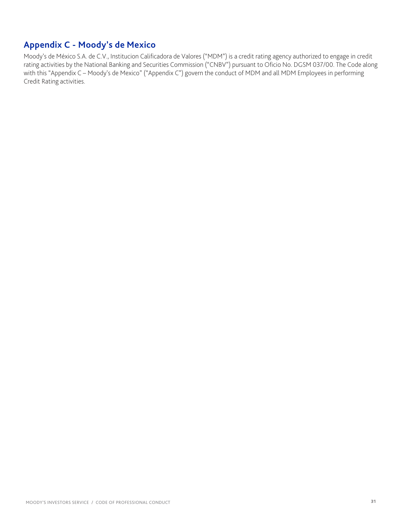# <span id="page-30-0"></span>**Appendix C - Moody's de Mexico**

Moody's de México S.A. de C.V., Institucion Calificadora de Valores ("MDM") is a credit rating agency authorized to engage in credit rating activities by the National Banking and Securities Commission ("CNBV") pursuant to Oficio No. DGSM 037/00. The Code along with this "Appendix C – Moody's de Mexico" ("Appendix C") govern the conduct of MDM and all MDM Employees in performing Credit Rating activities.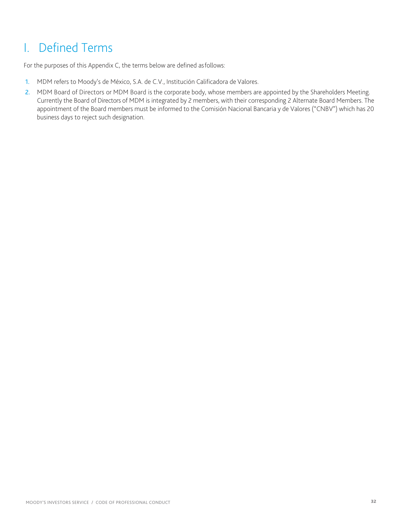# I. Defined Terms

For the purposes of this Appendix C, the terms below are defined asfollows:

- 1. MDM refers to Moody's de México, S.A. de C.V., Institución Calificadora de Valores.
- 2. MDM Board of Directors or MDM Board is the corporate body, whose members are appointed by the Shareholders Meeting. Currently the Board of Directors of MDM is integrated by 2 members, with their corresponding 2 Alternate Board Members. The appointment of the Board members must be informed to the Comisión Nacional Bancaria y de Valores ("CNBV") which has 20 business days to reject such designation.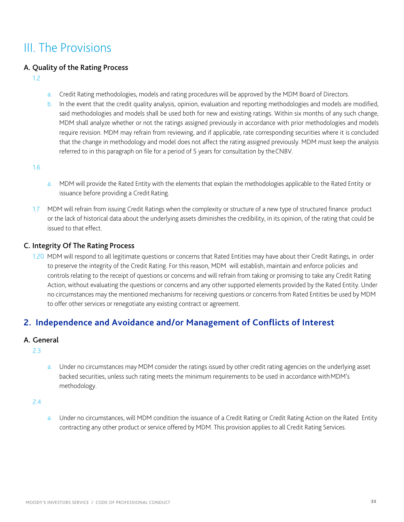# III. The Provisions

#### A. Quality of the Rating Process

- 1.2
- a. Credit Rating methodologies, models and rating procedures will be approved by the MDM Board of Directors.
- b. In the event that the credit quality analysis, opinion, evaluation and reporting methodologies and models are modified, said methodologies and models shall be used both for new and existing ratings. Within six months of any such change, MDM shall analyze whether or not the ratings assigned previously in accordance with prior methodologies and models require revision. MDM may refrain from reviewing, and if applicable, rate corresponding securities where it is concluded that the change in methodology and model does not affect the rating assigned previously. MDM must keep the analysis referred to in this paragraph on file for a period of 5 years for consultation by theCNBV.

1.6

- a. MDM will provide the Rated Entity with the elements that explain the methodologies applicable to the Rated Entity or issuance before providing a Credit Rating.
- 1.7 MDM will refrain from issuing Credit Ratings when the complexity or structure of a new type of structured finance product or the lack of historical data about the underlying assets diminishes the credibility, in its opinion, of the rating that could be issued to that effect.

#### C. Integrity Of The Rating Process

1.20 MDM will respond to all legitimate questions or concerns that Rated Entities may have about their Credit Ratings, in order to preserve the integrity of the Credit Rating. For this reason, MDM will establish, maintain and enforce policies and controls relating to the receipt of questions or concerns and will refrain from taking or promising to take any Credit Rating Action, without evaluating the questions or concerns and any other supported elements provided by the Rated Entity. Under no circumstances may the mentioned mechanisms for receiving questions or concerns from Rated Entities be used by MDM to offer other services or renegotiate any existing contract or agreement.

### **2. Independence and Avoidance and/or Management of Conflicts of Interest**

#### A. General

- 2.3
- a. Under no circumstances may MDM consider the ratings issued by other credit rating agencies on the underlying asset backed securities, unless such rating meets the minimum requirements to be used in accordance withMDM's methodology.

2.4

a. Under no circumstances, will MDM condition the issuance of a Credit Rating or Credit Rating Action on the Rated Entity contracting any other product or service offered by MDM. This provision applies to all Credit Rating Services.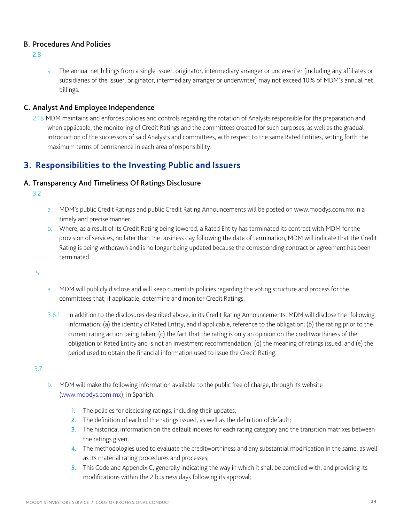#### B. Procedures And Policies

2.8

a. The annual net billings from a single Issuer, originator, intermediary arranger or underwriter (including any affiliates or subsidiaries of the Issuer, originator, intermediary arranger or underwriter) may not exceed 10% of MDM's annual net billings.

#### C. Analyst And Employee Independence

2.18 MDM maintains and enforces policies and controls regarding the rotation of Analysts responsible for the preparation and, when applicable, the monitoring of Credit Ratings and the committees created for such purposes, as well as the gradual introduction of the successors of said Analysts and committees, with respect to the same Rated Entities, setting forth the maximum terms of permanence in each area ofresponsibility.

## **3. Responsibilities to the Investing Public and Issuers**

#### A. Transparency And Timeliness Of Ratings Disclosure

3.2

- a. MDM's public Credit Ratings and public Credit Rating Announcements will be posted on [www.moodys.com.mx](http://www.moodys.com.mx/) in a timely and precise manner.
- b. Where, as a result of its Credit Rating being lowered, a Rated Entity has terminated its contract with MDM for the provision of services, no later than the business day following the date of termination, MDM will indicate that the Credit Rating is being withdrawn and is no longer being updated because the corresponding contract or agreement has been terminated.

.5

- a. MDM will publicly disclose and will keep current its policies regarding the voting structure and process for the committees that, if applicable, determine and monitor Credit Ratings.
- 3.6.1 In addition to the disclosures described above, in its Credit Rating Announcements, MDM will disclose the following information: (a) the identity of Rated Entity, and if applicable, reference to the obligation; (b) the rating prior to the current rating action being taken; (c) the fact that the rating is only an opinion on the creditworthiness of the obligation or Rated Entity and is not an investment recommendation; (d) the meaning of ratings issued; and (e) the period used to obtain the financial information used to issue the Credit Rating.

- b. MDM will make the following information available to the public free of charge, through its website (www.moodys.com.mx), in Spanish:
	- 1. The policies for disclosing ratings, including their updates;
	- 2. The definition of each of the ratings issued, as well as the definition of default;
	- 3. The historical information on the default indexes for each rating category and the transition matrixes between the ratings given;
	- 4. The methodologies used to evaluate the creditworthiness and any substantial modification in the same, as well as its material rating procedures and processes;
	- 5. This Code and Appendix C, generally indicating the way in which it shall be complied with, and providing its modifications within the 2 business days following its approval;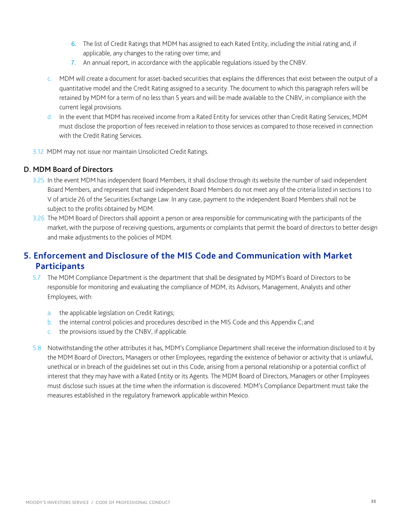- 6. The list of Credit Ratings that MDM has assigned to each Rated Entity, including the initial rating and, if applicable, any changes to the rating over time; and
- 7. An annual report, in accordance with the applicable regulations issued by the CNBV.
- c. MDM will create a document for asset-backed securities that explains the differences that exist between the output of a quantitative model and the Credit Rating assigned to a security. The document to which this paragraph refers will be retained by MDM for a term of no less than 5 years and will be made available to the CNBV, in compliance with the current legal provisions.
- d. In the event that MDM has received income from a Rated Entity for services other than Credit Rating Services, MDM must disclose the proportion of fees received in relation to those services as compared to those received in connection with the Credit Rating Services.
- 3.12 MDM may not issue nor maintain Unsolicited Credit Ratings.

#### D. MDM Board of Directors

- 3.25 In the event MDM has independent Board Members, it shall disclose through its website the number of said independent Board Members, and represent that said independent Board Members do not meet any of the criteria listed in sections I to V of article 26 of the Securities Exchange Law. In any case, payment to the independent Board Members shall not be subject to the profits obtained by MDM.
- 3.26 The MDM Board of Directors shall appoint a person or area responsible for communicating with the participants of the market, with the purpose of receiving questions, arguments or complaints that permit the board of directors to better design and make adjustments to the policies of MDM.

### **5. Enforcement and Disclosure of the MIS Code and Communication with Market Participants**

- 5.7 The MDM Compliance Department is the department that shall be designated by MDM's Board of Directors to be responsible for monitoring and evaluating the compliance of MDM, its Advisors, Management, Analysts and other Employees, with:
	- a. the applicable legislation on Credit Ratings;
	- b. the internal control policies and procedures described in the MIS Code and this Appendix C; and
	- c. the provisions issued by the CNBV, if applicable.
- 5.8 Notwithstanding the other attributes it has, MDM's Compliance Department shall receive the information disclosed to it by the MDM Board of Directors, Managers or other Employees, regarding the existence of behavior or activity that is unlawful, unethical or in breach of the guidelines set out in this Code, arising from a personal relationship or a potential conflict of interest that they may have with a Rated Entity or its Agents. The MDM Board of Directors, Managers or other Employees must disclose such issues at the time when the information is discovered. MDM's Compliance Department must take the measures established in the regulatory framework applicable within Mexico.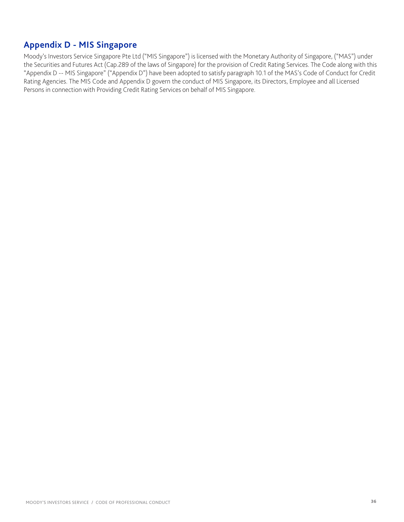## <span id="page-35-0"></span>**Appendix D - MIS Singapore**

Moody's Investors Service Singapore Pte Ltd ("MIS Singapore") is licensed with the Monetary Authority of Singapore, ("MAS") under the Securities and Futures Act (Cap.289 of the laws of Singapore) for the provision of Credit Rating Services. The Code along with this "Appendix D -- MIS Singapore" ("Appendix D") have been adopted to satisfy paragraph 10.1 of the MAS's Code of Conduct for Credit Rating Agencies. The MIS Code and Appendix D govern the conduct of MIS Singapore, its Directors, Employee and all Licensed Persons in connection with Providing Credit Rating Services on behalf of MIS Singapore.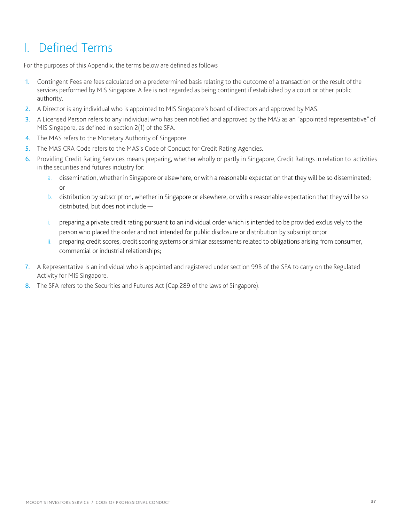# I. Defined Terms

For the purposes of this Appendix, the terms below are defined as follows

- 1. Contingent Fees are fees calculated on a predetermined basis relating to the outcome of a transaction or the result ofthe services performed by MIS Singapore. A fee is not regarded as being contingent if established by a court or other public authority.
- 2. A Director is any individual who is appointed to MIS Singapore's board of directors and approved by MAS.
- 3. A Licensed Person refers to any individual who has been notified and approved by the MAS as an "appointed representative" of MIS Singapore, as defined in section 2(1) of the SFA.
- 4. The MAS refers to the Monetary Authority of Singapore
- 5. The MAS CRA Code refers to the MAS's Code of Conduct for Credit Rating Agencies.
- 6. Providing Credit Rating Services means preparing, whether wholly or partly in Singapore, Credit Ratings in relation to activities in the securities and futures industry for:
	- a. dissemination, whether in Singapore or elsewhere, or with a reasonable expectation that they will be so disseminated; or
	- b. distribution by subscription, whether in Singapore or elsewhere, or with a reasonable expectation that they will be so distributed, but does not include —
	- preparing a private credit rating pursuant to an individual order which is intended to be provided exclusively to the person who placed the order and not intended for public disclosure or distribution by subscription;or
	- ii. preparing credit scores, credit scoring systems or similar assessments related to obligations arising from consumer, commercial or industrial relationships;
- 7. A Representative is an individual who is appointed and registered under section 99B of the SFA to carry on the Regulated Activity for MIS Singapore.
- 8. The SFA refers to the Securities and Futures Act (Cap.289 of the laws of Singapore).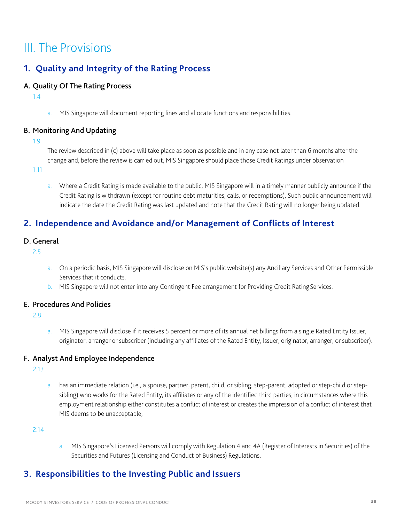# III. The Provisions

# **1. Quality and Integrity of the Rating Process**

#### A. Quality Of The Rating Process

1.4

a. MIS Singapore will document reporting lines and allocate functions and responsibilities.

#### B. Monitoring And Updating

1.9

The review described in (c) above will take place as soon as possible and in any case not later than 6 months after the change and, before the review is carried out, MIS Singapore should place those Credit Ratings under observation

1.11

a. Where a Credit Rating is made available to the public, MIS Singapore will in a timely manner publicly announce if the Credit Rating is withdrawn (except for routine debt maturities, calls, or redemptions), Such public announcement will indicate the date the Credit Rating was last updated and note that the Credit Rating will no longer being updated.

# **2. Independence and Avoidance and/or Management of Conflicts of Interest**

#### D. General

2.5

- a. On a periodic basis, MIS Singapore will disclose on MIS's public website(s) any Ancillary Services and Other Permissible Services that it conducts.
- b. MIS Singapore will not enter into any Contingent Fee arrangement for Providing Credit Rating Services.

#### E. Procedures And Policies

2.8

a. MIS Singapore will disclose if it receives 5 percent or more of its annual net billings from a single Rated Entity Issuer, originator, arranger or subscriber (including any affiliates of the Rated Entity, Issuer, originator, arranger, or subscriber).

#### F. Analyst And Employee Independence

2.13

a. has an immediate relation (i.e., a spouse, partner, parent, child, or sibling, step-parent, adopted or step-child or stepsibling) who works for the Rated Entity, its affiliates or any of the identified third parties, in circumstances where this employment relationship either constitutes a conflict of interest or creates the impression of a conflict of interest that MIS deems to be unacceptable;

2.14

a. MIS Singapore's Licensed Persons will comply with Regulation 4 and 4A (Register of Interests in Securities) of the Securities and Futures (Licensing and Conduct of Business) Regulations.

# **3. Responsibilities to the Investing Public and Issuers**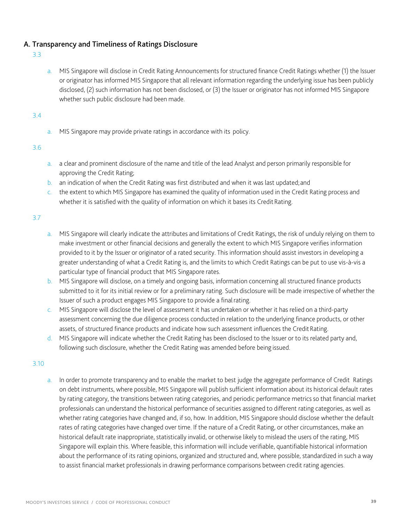#### A. Transparency and Timeliness of Ratings Disclosure

- 3.3
- a. MIS Singapore will disclose in Credit Rating Announcements for structured finance Credit Ratings whether (1) the Issuer or originator has informed MIS Singapore that all relevant information regarding the underlying issue has been publicly disclosed, (2) such information has not been disclosed, or (3) the Issuer or originator has not informed MIS Singapore whether such public disclosure had been made.

3.4

a. MIS Singapore may provide private ratings in accordance with its policy.

3.6

- a. a clear and prominent disclosure of the name and title of the lead Analyst and person primarily responsible for approving the Credit Rating;
- b. an indication of when the Credit Rating was first distributed and when it was last updated;and
- c. the extent to which MIS Singapore has examined the quality of information used in the Credit Rating process and whether it is satisfied with the quality of information on which it bases its Credit Rating.

3.7

- a. MIS Singapore will clearly indicate the attributes and limitations of Credit Ratings, the risk of unduly relying on them to make investment or other financial decisions and generally the extent to which MIS Singapore verifies information provided to it by the Issuer or originator of a rated security. This information should assist investors in developing a greater understanding of what a Credit Rating is, and the limits to which Credit Ratings can be put to use vis-à-vis a particular type of financial product that MIS Singapore rates.
- b. MIS Singapore will disclose, on a timely and ongoing basis, information concerning all structured finance products submitted to it for its initial review or for a preliminary rating. Such disclosure will be made irrespective of whether the Issuer of such a product engages MIS Singapore to provide a finalrating.
- c. MIS Singapore will disclose the level of assessment it has undertaken or whether it has relied on a third-party assessment concerning the due diligence process conducted in relation to the underlying finance products, or other assets, of structured finance products and indicate how such assessment influences the Credit Rating.
- d. MIS Singapore will indicate whether the Credit Rating has been disclosed to the Issuer or to its related party and, following such disclosure, whether the Credit Rating was amended before being issued.

#### 3.10

a. In order to promote transparency and to enable the market to best judge the aggregate performance of Credit Ratings on debt instruments, where possible, MIS Singapore will publish sufficient information about its historical default rates by rating category, the transitions between rating categories, and periodic performance metrics so that financial market professionals can understand the historical performance of securities assigned to different rating categories, as well as whether rating categories have changed and, if so, how. In addition, MIS Singapore should disclose whether the default rates of rating categories have changed over time. If the nature of a Credit Rating, or other circumstances, make an historical default rate inappropriate, statistically invalid, or otherwise likely to mislead the users of the rating, MIS Singapore will explain this. Where feasible, this information will include verifiable, quantifiable historical information about the performance of its rating opinions, organized and structured and, where possible, standardized in such a way to assist financial market professionals in drawing performance comparisons between credit rating agencies.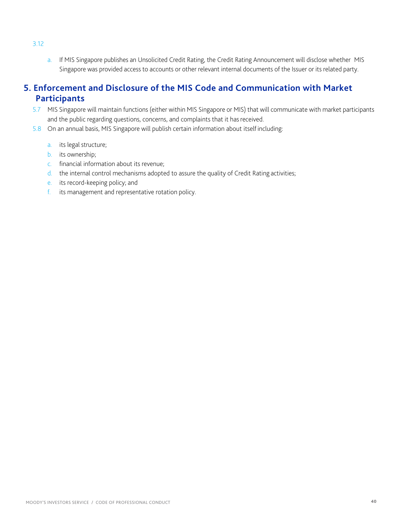a. If MIS Singapore publishes an Unsolicited Credit Rating, the Credit Rating Announcement will disclose whether MIS Singapore was provided access to accounts or other relevant internal documents of the Issuer or its related party.

## **5. Enforcement and Disclosure of the MIS Code and Communication with Market Participants**

- 5.7 MIS Singapore will maintain functions (either within MIS Singapore or MIS) that will communicate with market participants and the public regarding questions, concerns, and complaints that it has received.
- 5.8 On an annual basis, MIS Singapore will publish certain information about itself including:
	- a. its legal structure;
	- b. its ownership;
	- c. financial information about its revenue;
	- d. the internal control mechanisms adopted to assure the quality of Credit Rating activities;
	- e. its record-keeping policy; and
	- f. its management and representative rotation policy.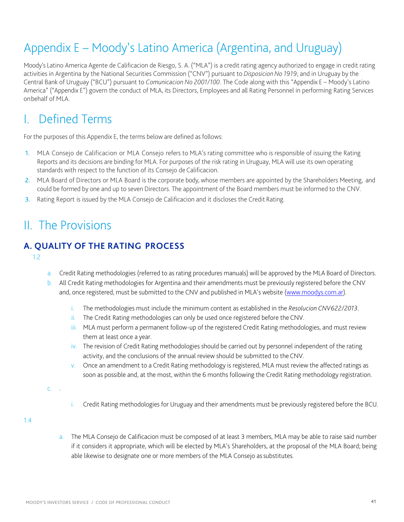# Appendix E – Moody's Latino America (Argentina, and Uruguay)

Moody's Latino America Agente de Calificacion de Riesgo, S. A. ("MLA") is a credit rating agency authorized to engage in credit rating activities in Argentina by the National Securities Commission ("CNV") pursuant to *Disposicion No 1919*; and in Uruguay by the Central Bank of Uruguay ("BCU") pursuant to *Comunicacion No 2001/100*. The Code along with this "Appendix E – Moody's Latino America" ("Appendix E") govern the conduct of MLA, its Directors, Employees and all Rating Personnel in performing Rating Services onbehalf of MLA.

# Defined Terms

For the purposes of this Appendix E, the terms below are defined as follows:

- 1. MLA Consejo de Calificacion or MLA Consejo refers to MLA's rating committee who is responsible of issuing the Rating Reports and its decisions are binding for MLA. For purposes of the risk rating in Uruguay, MLA will use its own operating standards with respect to the function of its Consejo de Calificacion.
- 2. MLA Board of Directors or MLA Board is the corporate body, whose members are appointed by the Shareholders Meeting, and could be formed by one and up to seven Directors. The appointment of the Board members must be informed to the CNV.
- 3. Rating Report is issued by the MLA Consejo de Calificacion and it discloses the Credit Rating.

# II. The Provisions

## **A. QUALITY OF THE RATING PROCESS**

1.2

- a. Credit Rating methodologies (referred to as rating procedures manuals) will be approved by the MLA Board of Directors.
- b. All Credit Rating methodologies for Argentina and their amendments must be previously registered before the CNV and, once registered, must be submitted to the CNV and published in MLA's website [\(www.moodys.com.ar\)](http://www.moodys.com.ar/).
	- i. The methodologies must include the minimum content as established in the *Resolucion CNV622/2013*.
	- ii. The Credit Rating methodologies can only be used once registered before the CNV.
	- iii. MLA must perform a permanent follow-up of the registered Credit Rating methodologies, and must review them at least once a year.
	- iv. The revision of Credit Rating methodologies should be carried out by personnel independent of the rating activity, and the conclusions of the annual review should be submitted to theCNV.
	- v. Once an amendment to a Credit Rating methodology is registered, MLA must review the affected ratings as soon as possible and, at the most, within the 6 months following the Credit Rating methodology registration.

 $\mathcal{C}$ .

i. Credit Rating methodologies for Uruguay and their amendments must be previously registered before the BCU.

1.4

a. The MLA Consejo de Calificacion must be composed of at least 3 members, MLA may be able to raise said number if it considers it appropriate, which will be elected by MLA's Shareholders, at the proposal of the MLA Board; being able likewise to designate one or more members of the MLA Consejo as substitutes.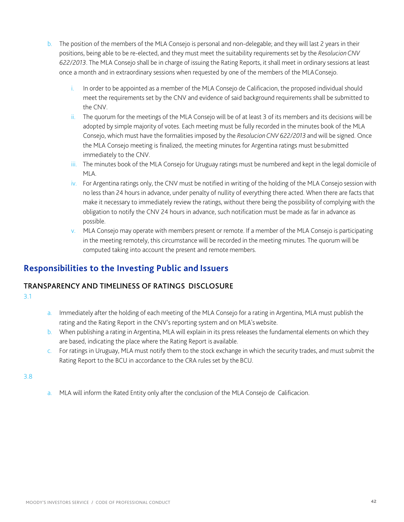- b. The position of the members of the MLA Consejo is personal and non-delegable; and they will last 2 years in their positions, being able to be re-elected, and they must meet the suitability requirements set by the *Resolucion CNV 622/2013*. The MLA Consejo shall be in charge of issuing the Rating Reports, it shall meet in ordinary sessions at least once a month and in extraordinary sessions when requested by one of the members of the MLAConsejo.
	- i. In order to be appointed as a member of the MLA Consejo de Calificacion, the proposed individual should meet the requirements set by the CNV and evidence of said background requirements shall be submitted to the CNV.
	- ii. The quorum for the meetings of the MLA Consejo will be of at least 3 of its members and its decisions will be adopted by simple majority of votes. Each meeting must be fully recorded in the minutes book of the MLA Consejo, which must have the formalities imposed by the *Resolucion CNV 622/2013* and will be signed. Once the MLA Consejo meeting is finalized, the meeting minutes for Argentina ratings must besubmitted immediately to the CNV.
	- iii. The minutes book of the MLA Consejo for Uruguay ratings must be numbered and kept in the legal domicile of MLA.
	- iv. For Argentina ratings only, the CNV must be notified in writing of the holding of the MLA Consejo session with no less than 24 hours in advance, under penalty of nullity of everything there acted. When there are facts that make it necessary to immediately review the ratings, without there being the possibility of complying with the obligation to notify the CNV 24 hours in advance, such notification must be made as far in advance as possible.
	- v. MLA Consejo may operate with members present or remote. If a member of the MLA Consejo is participating in the meeting remotely, this circumstance will be recorded in the meeting minutes. The quorum will be computed taking into account the present and remote members.

# **Responsibilities to the Investing Public and Issuers**

#### TRANSPARENCY AND TIMELINESS OF RATINGS DISCLOSURE

- 3.1
- a. Immediately after the holding of each meeting of the MLA Consejo for a rating in Argentina, MLA must publish the rating and the Rating Report in the CNV's reporting system and on MLA'swebsite.
- b. When publishing a rating in Argentina, MLA will explain in its press releases the fundamental elements on which they are based, indicating the place where the Rating Report is available.
- c. For ratings in Uruguay, MLA must notify them to the stock exchange in which the security trades, and must submit the Rating Report to the BCU in accordance to the CRA rules set by the BCU.

3.8

a. MLA will inform the Rated Entity only after the conclusion of the MLA Consejo de Calificacion.